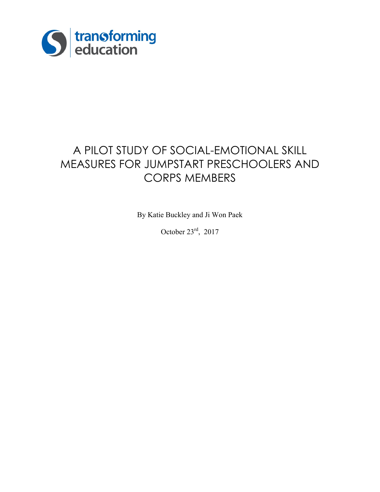

# A PILOT STUDY OF SOCIAL-EMOTIONAL SKILL MEASURES FOR JUMPSTART PRESCHOOLERS AND CORPS MEMBERS

By Katie Buckley and Ji Won Paek

October  $23^{\text{rd}}$ , 2017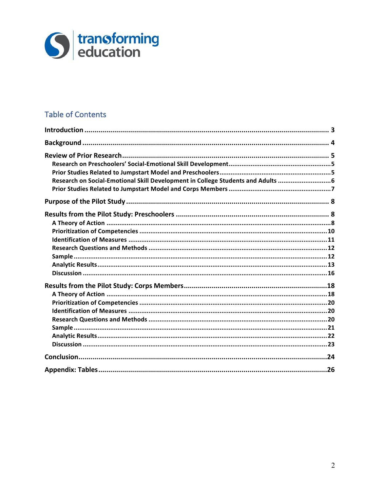

# **Table of Contents**

| Research on Social-Emotional Skill Development in College Students and Adults  6 |  |
|----------------------------------------------------------------------------------|--|
|                                                                                  |  |
|                                                                                  |  |
|                                                                                  |  |
|                                                                                  |  |
|                                                                                  |  |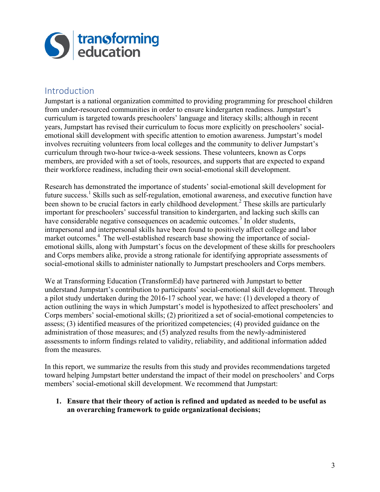

### Introduction

Jumpstart is a national organization committed to providing programming for preschool children from under-resourced communities in order to ensure kindergarten readiness. Jumpstart's curriculum is targeted towards preschoolers' language and literacy skills; although in recent years, Jumpstart has revised their curriculum to focus more explicitly on preschoolers' socialemotional skill development with specific attention to emotion awareness. Jumpstart's model involves recruiting volunteers from local colleges and the community to deliver Jumpstart's curriculum through two-hour twice-a-week sessions. These volunteers, known as Corps members, are provided with a set of tools, resources, and supports that are expected to expand their workforce readiness, including their own social-emotional skill development.

Research has demonstrated the importance of students' social-emotional skill development for future success.1 Skills such as self-regulation, emotional awareness, and executive function have been shown to be crucial factors in early childhood development.<sup>2</sup> These skills are particularly important for preschoolers' successful transition to kindergarten, and lacking such skills can have considerable negative consequences on academic outcomes. <sup>3</sup> In older students, intrapersonal and interpersonal skills have been found to positively affect college and labor market outcomes. <sup>4</sup> The well-established research base showing the importance of socialemotional skills, along with Jumpstart's focus on the development of these skills for preschoolers and Corps members alike, provide a strong rationale for identifying appropriate assessments of social-emotional skills to administer nationally to Jumpstart preschoolers and Corps members.

We at Transforming Education (TransformEd) have partnered with Jumpstart to better understand Jumpstart's contribution to participants' social-emotional skill development. Through a pilot study undertaken during the 2016-17 school year, we have: (1) developed a theory of action outlining the ways in which Jumpstart's model is hypothesized to affect preschoolers' and Corps members' social-emotional skills; (2) prioritized a set of social-emotional competencies to assess; (3) identified measures of the prioritized competencies; (4) provided guidance on the administration of those measures; and (5) analyzed results from the newly-administered assessments to inform findings related to validity, reliability, and additional information added from the measures.

In this report, we summarize the results from this study and provides recommendations targeted toward helping Jumpstart better understand the impact of their model on preschoolers' and Corps members' social-emotional skill development. We recommend that Jumpstart:

#### **1. Ensure that their theory of action is refined and updated as needed to be useful as an overarching framework to guide organizational decisions;**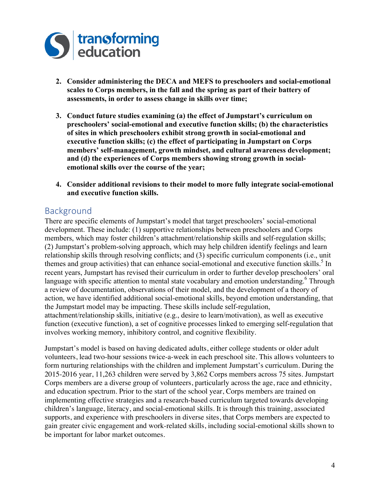

- **2. Consider administering the DECA and MEFS to preschoolers and social-emotional scales to Corps members, in the fall and the spring as part of their battery of assessments, in order to assess change in skills over time;**
- **3. Conduct future studies examining (a) the effect of Jumpstart's curriculum on preschoolers' social-emotional and executive function skills; (b) the characteristics of sites in which preschoolers exhibit strong growth in social-emotional and executive function skills; (c) the effect of participating in Jumpstart on Corps members' self-management, growth mindset, and cultural awareness development; and (d) the experiences of Corps members showing strong growth in socialemotional skills over the course of the year;**
- **4. Consider additional revisions to their model to more fully integrate social-emotional and executive function skills.**

### Background

There are specific elements of Jumpstart's model that target preschoolers' social-emotional development. These include: (1) supportive relationships between preschoolers and Corps members, which may foster children's attachment/relationship skills and self-regulation skills; (2) Jumpstart's problem-solving approach, which may help children identify feelings and learn relationship skills through resolving conflicts; and (3) specific curriculum components (i.e., unit themes and group activities) that can enhance social-emotional and executive function skills.<sup>5</sup> In recent years, Jumpstart has revised their curriculum in order to further develop preschoolers' oral language with specific attention to mental state vocabulary and emotion understanding.<sup>6</sup> Through a review of documentation, observations of their model, and the development of a theory of action, we have identified additional social-emotional skills, beyond emotion understanding, that the Jumpstart model may be impacting. These skills include self-regulation, attachment/relationship skills, initiative (e.g., desire to learn/motivation), as well as executive function (executive function), a set of cognitive processes linked to emerging self-regulation that involves working memory, inhibitory control, and cognitive flexibility.

Jumpstart's model is based on having dedicated adults, either college students or older adult volunteers, lead two-hour sessions twice-a-week in each preschool site. This allows volunteers to form nurturing relationships with the children and implement Jumpstart's curriculum. During the 2015-2016 year, 11,263 children were served by 3,862 Corps members across 75 sites. Jumpstart Corps members are a diverse group of volunteers, particularly across the age, race and ethnicity, and education spectrum. Prior to the start of the school year, Corps members are trained on implementing effective strategies and a research-based curriculum targeted towards developing children's language, literacy, and social-emotional skills. It is through this training, associated supports, and experience with preschoolers in diverse sites, that Corps members are expected to gain greater civic engagement and work-related skills, including social-emotional skills shown to be important for labor market outcomes.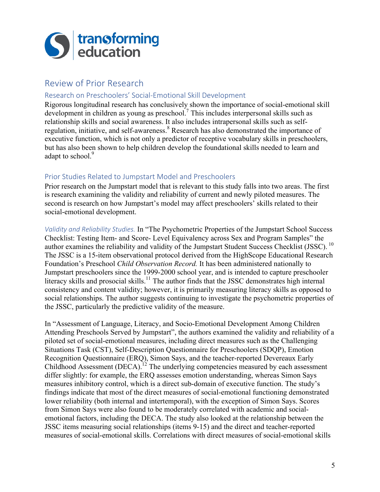

# Review of Prior Research

#### Research on Preschoolers' Social-Emotional Skill Development

Rigorous longitudinal research has conclusively shown the importance of social-emotional skill development in children as young as preschool.<sup>7</sup> This includes interpersonal skills such as relationship skills and social awareness. It also includes intrapersonal skills such as selfregulation, initiative, and self-awareness.<sup>8</sup> Research has also demonstrated the importance of executive function, which is not only a predictor of receptive vocabulary skills in preschoolers, but has also been shown to help children develop the foundational skills needed to learn and adapt to school.<sup>9</sup>

#### Prior Studies Related to Jumpstart Model and Preschoolers

Prior research on the Jumpstart model that is relevant to this study falls into two areas. The first is research examining the validity and reliability of current and newly piloted measures. The second is research on how Jumpstart's model may affect preschoolers' skills related to their social-emotional development.

*Validity and Reliability Studies.* In "The Psychometric Properties of the Jumpstart School Success Checklist: Testing Item- and Score- Level Equivalency across Sex and Program Samples" the author examines the reliability and validity of the Jumpstart Student Success Checklist (JSSC). <sup>10</sup> The JSSC is a 15-item observational protocol derived from the HighScope Educational Research Foundation's Preschool *Child Observation Record.* It has been administered nationally to Jumpstart preschoolers since the 1999-2000 school year, and is intended to capture preschooler literacy skills and prosocial skills.<sup>11</sup> The author finds that the JSSC demonstrates high internal consistency and content validity; however, it is primarily measuring literacy skills as opposed to social relationships. The author suggests continuing to investigate the psychometric properties of the JSSC, particularly the predictive validity of the measure.

In "Assessment of Language, Literacy, and Socio-Emotional Development Among Children Attending Preschools Served by Jumpstart", the authors examined the validity and reliability of a piloted set of social-emotional measures, including direct measures such as the Challenging Situations Task (CST), Self-Description Questionnaire for Preschoolers (SDQP), Emotion Recognition Questionnaire (ERQ), Simon Says, and the teacher-reported Devereaux Early Childhood Assessment (DECA).<sup>12</sup> The underlying competencies measured by each assessment differ slightly: for example, the ERQ assesses emotion understanding, whereas Simon Says measures inhibitory control, which is a direct sub-domain of executive function. The study's findings indicate that most of the direct measures of social-emotional functioning demonstrated lower reliability (both internal and intertemporal), with the exception of Simon Says. Scores from Simon Says were also found to be moderately correlated with academic and socialemotional factors, including the DECA. The study also looked at the relationship between the JSSC items measuring social relationships (items 9-15) and the direct and teacher-reported measures of social-emotional skills. Correlations with direct measures of social-emotional skills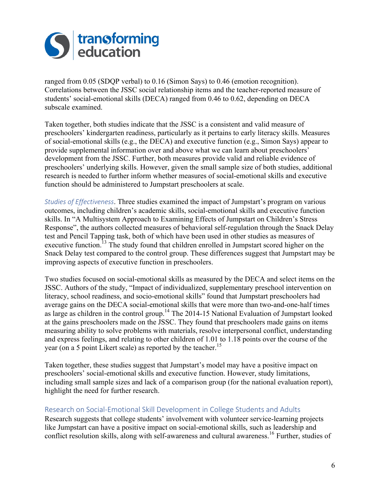

ranged from 0.05 (SDQP verbal) to 0.16 (Simon Says) to 0.46 (emotion recognition). Correlations between the JSSC social relationship items and the teacher-reported measure of students' social-emotional skills (DECA) ranged from 0.46 to 0.62, depending on DECA subscale examined.

Taken together, both studies indicate that the JSSC is a consistent and valid measure of preschoolers' kindergarten readiness, particularly as it pertains to early literacy skills. Measures of social-emotional skills (e.g., the DECA) and executive function (e.g., Simon Says) appear to provide supplemental information over and above what we can learn about preschoolers' development from the JSSC. Further, both measures provide valid and reliable evidence of preschoolers' underlying skills. However, given the small sample size of both studies, additional research is needed to further inform whether measures of social-emotional skills and executive function should be administered to Jumpstart preschoolers at scale.

*Studies of Effectiveness*. Three studies examined the impact of Jumpstart's program on various outcomes, including children's academic skills, social-emotional skills and executive function skills. In "A Multisystem Approach to Examining Effects of Jumpstart on Children's Stress Response", the authors collected measures of behavioral self-regulation through the Snack Delay test and Pencil Tapping task, both of which have been used in other studies as measures of executive function.<sup>13</sup> The study found that children enrolled in Jumpstart scored higher on the Snack Delay test compared to the control group. These differences suggest that Jumpstart may be improving aspects of executive function in preschoolers.

Two studies focused on social-emotional skills as measured by the DECA and select items on the JSSC. Authors of the study, "Impact of individualized, supplementary preschool intervention on literacy, school readiness, and socio-emotional skills" found that Jumpstart preschoolers had average gains on the DECA social-emotional skills that were more than two-and-one-half times as large as children in the control group.<sup>14</sup> The 2014-15 National Evaluation of Jumpstart looked at the gains preschoolers made on the JSSC. They found that preschoolers made gains on items measuring ability to solve problems with materials, resolve interpersonal conflict, understanding and express feelings, and relating to other children of 1.01 to 1.18 points over the course of the year (on a 5 point Likert scale) as reported by the teacher.<sup>15</sup>

Taken together, these studies suggest that Jumpstart's model may have a positive impact on preschoolers' social-emotional skills and executive function. However, study limitations, including small sample sizes and lack of a comparison group (for the national evaluation report), highlight the need for further research.

#### Research on Social-Emotional Skill Development in College Students and Adults

Research suggests that college students' involvement with volunteer service-learning projects like Jumpstart can have a positive impact on social-emotional skills, such as leadership and conflict resolution skills, along with self-awareness and cultural awareness. <sup>16</sup> Further, studies of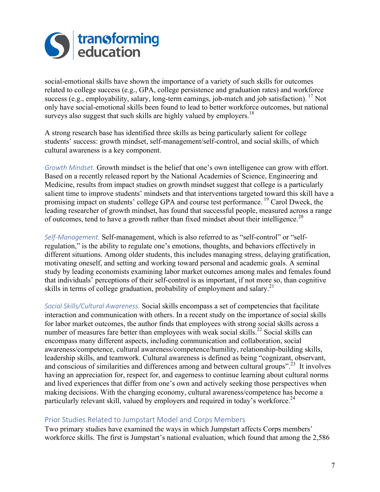

social-emotional skills have shown the importance of a variety of such skills for outcomes related to college success (e.g., GPA, college persistence and graduation rates) and workforce success (e.g., employability, salary, long-term earnings, job-match and job satisfaction). <sup>17</sup> Not only have social-emotional skills been found to lead to better workforce outcomes, but national surveys also suggest that such skills are highly valued by employers.<sup>18</sup>

A strong research base has identified three skills as being particularly salient for college students' success: growth mindset, self-management/self-control, and social skills, of which cultural awareness is a key component.

*Growth Mindset.* Growth mindset is the belief that one's own intelligence can grow with effort. Based on a recently released report by the National Academies of Science, Engineering and Medicine, results from impact studies on growth mindset suggest that college is a particularly salient time to improve students' mindsets and that interventions targeted toward this skill have a promising impact on students' college GPA and course test performance. <sup>19</sup> Carol Dweck, the leading researcher of growth mindset, has found that successful people, measured across a range of outcomes, tend to have a growth rather than fixed mindset about their intelligence.<sup>20</sup>

*Self-Management.* Self-management, which is also referred to as "self-control" or "selfregulation," is the ability to regulate one's emotions, thoughts, and behaviors effectively in different situations. Among older students, this includes managing stress, delaying gratification, motivating oneself, and setting and working toward personal and academic goals. A seminal study by leading economists examining labor market outcomes among males and females found that individuals' perceptions of their self-control is as important, if not more so, than cognitive skills in terms of college graduation, probability of employment and salary.<sup>21</sup>

Social Skills/Cultural Awareness. Social skills encompass a set of competencies that facilitate interaction and communication with others. In a recent study on the importance of social skills for labor market outcomes, the author finds that employees with strong social skills across a number of measures fare better than employees with weak social skills.<sup>22</sup> Social skills can encompass many different aspects, including communication and collaboration, social awareness/competence, cultural awareness/competence/humility, relationship-building skills, leadership skills, and teamwork. Cultural awareness is defined as being "cognizant, observant, and conscious of similarities and differences among and between cultural groups".<sup>23</sup> It involves having an appreciation for, respect for, and eagerness to continue learning about cultural norms and lived experiences that differ from one's own and actively seeking those perspectives when making decisions. With the changing economy, cultural awareness/competence has become a particularly relevant skill, valued by employers and required in today's workforce.<sup>24</sup>

#### Prior Studies Related to Jumpstart Model and Corps Members

Two primary studies have examined the ways in which Jumpstart affects Corps members' workforce skills. The first is Jumpstart's national evaluation, which found that among the 2,586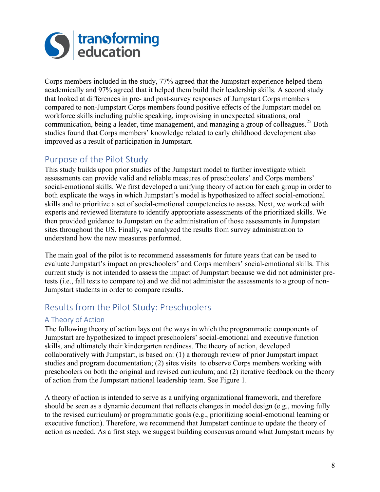

Corps members included in the study, 77% agreed that the Jumpstart experience helped them academically and 97% agreed that it helped them build their leadership skills. A second study that looked at differences in pre- and post-survey responses of Jumpstart Corps members compared to non-Jumpstart Corps members found positive effects of the Jumpstart model on workforce skills including public speaking, improvising in unexpected situations, oral communication, being a leader, time management, and managing a group of colleagues.<sup>25</sup> Both studies found that Corps members' knowledge related to early childhood development also improved as a result of participation in Jumpstart.

# Purpose of the Pilot Study

This study builds upon prior studies of the Jumpstart model to further investigate which assessments can provide valid and reliable measures of preschoolers' and Corps members' social-emotional skills. We first developed a unifying theory of action for each group in order to both explicate the ways in which Jumpstart's model is hypothesized to affect social-emotional skills and to prioritize a set of social-emotional competencies to assess. Next, we worked with experts and reviewed literature to identify appropriate assessments of the prioritized skills. We then provided guidance to Jumpstart on the administration of those assessments in Jumpstart sites throughout the US. Finally, we analyzed the results from survey administration to understand how the new measures performed.

The main goal of the pilot is to recommend assessments for future years that can be used to evaluate Jumpstart's impact on preschoolers' and Corps members' social-emotional skills. This current study is not intended to assess the impact of Jumpstart because we did not administer pretests (i.e., fall tests to compare to) and we did not administer the assessments to a group of non-Jumpstart students in order to compare results.

# Results from the Pilot Study: Preschoolers

### A Theory of Action

The following theory of action lays out the ways in which the programmatic components of Jumpstart are hypothesized to impact preschoolers' social-emotional and executive function skills, and ultimately their kindergarten readiness. The theory of action, developed collaboratively with Jumpstart, is based on: (1) a thorough review of prior Jumpstart impact studies and program documentation; (2) sites visits to observe Corps members working with preschoolers on both the original and revised curriculum; and (2) iterative feedback on the theory of action from the Jumpstart national leadership team. See Figure 1.

A theory of action is intended to serve as a unifying organizational framework, and therefore should be seen as a dynamic document that reflects changes in model design (e.g., moving fully to the revised curriculum) or programmatic goals (e.g., prioritizing social-emotional learning or executive function). Therefore, we recommend that Jumpstart continue to update the theory of action as needed. As a first step, we suggest building consensus around what Jumpstart means by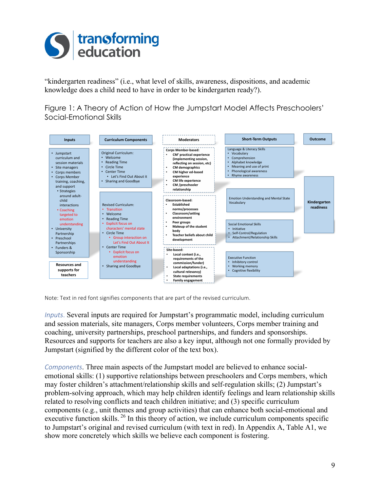

"kindergarten readiness" (i.e., what level of skills, awareness, dispositions, and academic knowledge does a child need to have in order to be kindergarten ready?).

Figure 1: A Theory of Action of How the Jumpstart Model Affects Preschoolers' Social-Emotional Skills



Note: Text in red font signifies components that are part of the revised curriculum.

*Inputs*. Several inputs are required for Jumpstart's programmatic model, including curriculum and session materials, site managers, Corps member volunteers, Corps member training and coaching, university partnerships, preschool partnerships, and funders and sponsorships. Resources and supports for teachers are also a key input, although not one formally provided by Jumpstart (signified by the different color of the text box).

*Components*. Three main aspects of the Jumpstart model are believed to enhance socialemotional skills: (1) supportive relationships between preschoolers and Corps members, which may foster children's attachment/relationship skills and self-regulation skills; (2) Jumpstart's problem-solving approach, which may help children identify feelings and learn relationship skills related to resolving conflicts and teach children initiative; and (3) specific curriculum components (e.g., unit themes and group activities) that can enhance both social-emotional and executive function skills. <sup>26</sup> In this theory of action, we include curriculum components specific to Jumpstart's original and revised curriculum (with text in red). In Appendix A, Table A1, we show more concretely which skills we believe each component is fostering.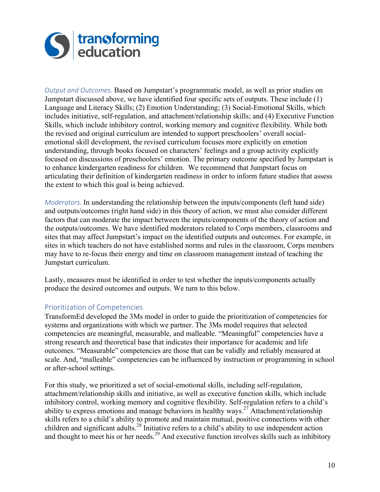

*Output and Outcomes.* Based on Jumpstart's programmatic model, as well as prior studies on Jumpstart discussed above, we have identified four specific sets of outputs. These include (1) Language and Literacy Skills; (2) Emotion Understanding; (3) Social-Emotional Skills, which includes initiative, self-regulation, and attachment/relationship skills; and (4) Executive Function Skills, which include inhibitory control, working memory and cognitive flexibility. While both the revised and original curriculum are intended to support preschoolers' overall socialemotional skill development, the revised curriculum focuses more explicitly on emotion understanding, through books focused on characters' feelings and a group activity explicitly focused on discussions of preschoolers' emotion. The primary outcome specified by Jumpstart is to enhance kindergarten readiness for children. We recommend that Jumpstart focus on articulating their definition of kindergarten readiness in order to inform future studies that assess the extent to which this goal is being achieved.

*Moderators.* In understanding the relationship between the inputs/components (left hand side) and outputs/outcomes (right hand side) in this theory of action, we must also consider different factors that can moderate the impact between the inputs/components of the theory of action and the outputs/outcomes. We have identified moderators related to Corps members, classrooms and sites that may affect Jumpstart's impact on the identified outputs and outcomes. For example, in sites in which teachers do not have established norms and rules in the classroom, Corps members may have to re-focus their energy and time on classroom management instead of teaching the Jumpstart curriculum.

Lastly, measures must be identified in order to test whether the inputs/components actually produce the desired outcomes and outputs. We turn to this below.

#### Prioritization of Competencies

TransformEd developed the 3Ms model in order to guide the prioritization of competencies for systems and organizations with which we partner. The 3Ms model requires that selected competencies are meaningful, measurable, and malleable. "Meaningful" competencies have a strong research and theoretical base that indicates their importance for academic and life outcomes. "Measurable" competencies are those that can be validly and reliably measured at scale. And, "malleable" competencies can be influenced by instruction or programming in school or after-school settings.

For this study, we prioritized a set of social-emotional skills, including self-regulation, attachment/relationship skills and initiative, as well as executive function skills, which include inhibitory control, working memory and cognitive flexibility. Self-regulation refers to a child's ability to express emotions and manage behaviors in healthy ways.<sup>27</sup> Attachment/relationship skills refers to a child's ability to promote and maintain mutual, positive connections with other children and significant adults.<sup>28</sup> Initiative refers to a child's ability to use independent action and thought to meet his or her needs.<sup>29</sup> And executive function involves skills such as inhibitory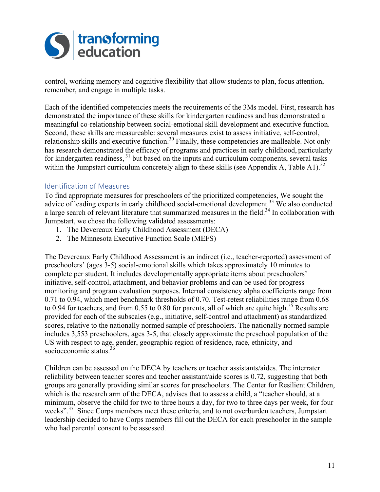

control, working memory and cognitive flexibility that allow students to plan, focus attention, remember, and engage in multiple tasks.

Each of the identified competencies meets the requirements of the 3Ms model. First, research has demonstrated the importance of these skills for kindergarten readiness and has demonstrated a meaningful co-relationship between social-emotional skill development and executive function. Second, these skills are measureable: several measures exist to assess initiative, self-control, relationship skills and executive function.<sup>30</sup> Finally, these competencies are malleable. Not only has research demonstrated the efficacy of programs and practices in early childhood, particularly for kindergarten readiness, <sup>31</sup> but based on the inputs and curriculum components, several tasks within the Jumpstart curriculum concretely align to these skills (see Appendix A, Table A1).<sup>32</sup>

#### Identification of Measures

To find appropriate measures for preschoolers of the prioritized competencies, We sought the advice of leading experts in early childhood social-emotional development.<sup>33</sup> We also conducted a large search of relevant literature that summarized measures in the field.<sup>34</sup> In collaboration with Jumpstart, we chose the following validated assessments:

- 1. The Devereaux Early Childhood Assessment (DECA)
- 2. The Minnesota Executive Function Scale (MEFS)

The Devereaux Early Childhood Assessment is an indirect (i.e., teacher-reported) assessment of preschoolers' (ages 3-5) social-emotional skills which takes approximately 10 minutes to complete per student. It includes developmentally appropriate items about preschoolers' initiative, self-control, attachment, and behavior problems and can be used for progress monitoring and program evaluation purposes. Internal consistency alpha coefficients range from 0.71 to 0.94, which meet benchmark thresholds of 0.70. Test-retest reliabilities range from 0.68 to 0.94 for teachers, and from 0.55 to 0.80 for parents, all of which are quite high.<sup>35</sup> Results are provided for each of the subscales (e.g., initiative, self-control and attachment) as standardized scores, relative to the nationally normed sample of preschoolers. The nationally normed sample includes 3,553 preschoolers, ages 3-5, that closely approximate the preschool population of the US with respect to age, gender, geographic region of residence, race, ethnicity, and socioeconomic status.<sup>36</sup>

Children can be assessed on the DECA by teachers or teacher assistants/aides. The interrater reliability between teacher scores and teacher assistant/aide scores is 0.72, suggesting that both groups are generally providing similar scores for preschoolers. The Center for Resilient Children, which is the research arm of the DECA, advises that to assess a child, a "teacher should, at a minimum, observe the child for two to three hours a day, for two to three days per week, for four weeks".<sup>37</sup> Since Corps members meet these criteria, and to not overburden teachers, Jumpstart leadership decided to have Corps members fill out the DECA for each preschooler in the sample who had parental consent to be assessed.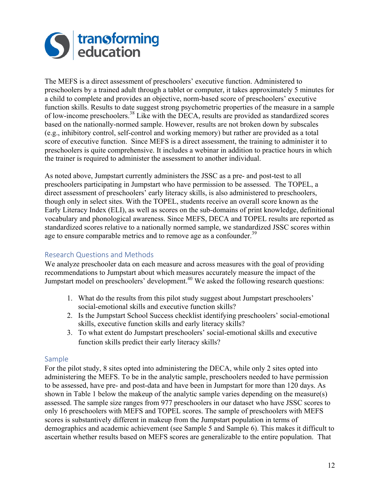

The MEFS is a direct assessment of preschoolers' executive function. Administered to preschoolers by a trained adult through a tablet or computer, it takes approximately 5 minutes for a child to complete and provides an objective, norm-based score of preschoolers' executive function skills. Results to date suggest strong psychometric properties of the measure in a sample of low-income preschoolers.<sup>38</sup> Like with the DECA, results are provided as standardized scores based on the nationally-normed sample. However, results are not broken down by subscales (e.g., inhibitory control, self-control and working memory) but rather are provided as a total score of executive function. Since MEFS is a direct assessment, the training to administer it to preschoolers is quite comprehensive. It includes a webinar in addition to practice hours in which the trainer is required to administer the assessment to another individual.

As noted above, Jumpstart currently administers the JSSC as a pre- and post-test to all preschoolers participating in Jumpstart who have permission to be assessed. The TOPEL, a direct assessment of preschoolers' early literacy skills, is also administered to preschoolers, though only in select sites. With the TOPEL, students receive an overall score known as the Early Literacy Index (ELI), as well as scores on the sub-domains of print knowledge, definitional vocabulary and phonological awareness. Since MEFS, DECA and TOPEL results are reported as standardized scores relative to a nationally normed sample, we standardized JSSC scores within age to ensure comparable metrics and to remove age as a confounder.<sup>39</sup>

### Research Questions and Methods

We analyze preschooler data on each measure and across measures with the goal of providing recommendations to Jumpstart about which measures accurately measure the impact of the Jumpstart model on preschoolers' development.<sup>40</sup> We asked the following research questions:

- 1. What do the results from this pilot study suggest about Jumpstart preschoolers' social-emotional skills and executive function skills?
- 2. Is the Jumpstart School Success checklist identifying preschoolers' social-emotional skills, executive function skills and early literacy skills?
- 3. To what extent do Jumpstart preschoolers' social-emotional skills and executive function skills predict their early literacy skills?

#### Sample

For the pilot study, 8 sites opted into administering the DECA, while only 2 sites opted into administering the MEFS. To be in the analytic sample, preschoolers needed to have permission to be assessed, have pre- and post-data and have been in Jumpstart for more than 120 days. As shown in Table 1 below the makeup of the analytic sample varies depending on the measure(s) assessed. The sample size ranges from 977 preschoolers in our dataset who have JSSC scores to only 16 preschoolers with MEFS and TOPEL scores. The sample of preschoolers with MEFS scores is substantively different in makeup from the Jumpstart population in terms of demographics and academic achievement (see Sample 5 and Sample 6). This makes it difficult to ascertain whether results based on MEFS scores are generalizable to the entire population. That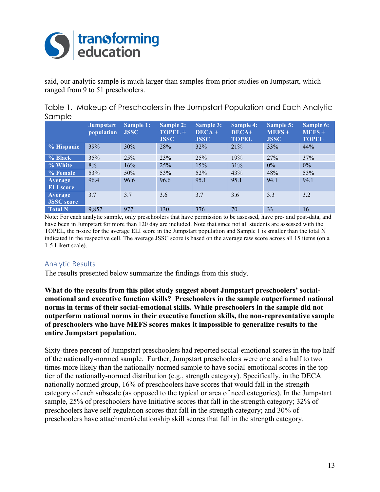

said, our analytic sample is much larger than samples from prior studies on Jumpstart, which ranged from 9 to 51 preschoolers.

|        | Table 1. Makeup of Preschoolers in the Jumpstart Population and Each Analytic |
|--------|-------------------------------------------------------------------------------|
| Sample |                                                                               |

|                              | <b>Jumpstart</b><br>population | <b>Sample 1:</b><br><b>JSSC</b> | <b>Sample 2:</b><br>TOPEL +<br><b>JSSC</b> | <b>Sample 3:</b><br>$DECA +$<br><b>JSSC</b> | <b>Sample 4:</b><br>DECA+<br><b>TOPEL</b> | Sample 5:<br>$MEFS +$<br><b>JSSC</b> | Sample 6:<br>$MEFS +$<br><b>TOPEL</b> |
|------------------------------|--------------------------------|---------------------------------|--------------------------------------------|---------------------------------------------|-------------------------------------------|--------------------------------------|---------------------------------------|
| % Hispanic                   | 39%                            | 30%                             | 28%                                        | 32%                                         | 21%                                       | 33%                                  | 44%                                   |
| % Black                      | 35%                            | 25%                             | 23%                                        | 25%                                         | 19%                                       | 27%                                  | 37%                                   |
| % White                      | 8%                             | 16%                             | 25%                                        | 15%                                         | 31%                                       | $0\%$                                | $0\%$                                 |
| % Female                     | 53%                            | 50%                             | 53%                                        | 52%                                         | 43%                                       | 48%                                  | 53%                                   |
| Average<br><b>ELI</b> score  | 96.4                           | 96.6                            | 96.6                                       | 95.1                                        | 95.1                                      | 94.1                                 | 94.1                                  |
| Average<br><b>JSSC</b> score | 3.7                            | 3.7                             | 3.6                                        | 3.7                                         | 3.6                                       | 3.3                                  | 3.2                                   |
| <b>Total N</b>               | 9,857                          | 977                             | 130                                        | 376                                         | 70                                        | 33                                   | 16                                    |

Note: For each analytic sample, only preschoolers that have permission to be assessed, have pre- and post-data, and have been in Jumpstart for more than 120 day are included. Note that since not all students are assessed with the TOPEL, the n-size for the average ELI score in the Jumpstart population and Sample 1 is smaller than the total N indicated in the respective cell. The average JSSC score is based on the average raw score across all 15 items (on a 1-5 Likert scale).

#### Analytic Results

The results presented below summarize the findings from this study.

**What do the results from this pilot study suggest about Jumpstart preschoolers' socialemotional and executive function skills? Preschoolers in the sample outperformed national norms in terms of their social-emotional skills. While preschoolers in the sample did not outperform national norms in their executive function skills, the non-representative sample of preschoolers who have MEFS scores makes it impossible to generalize results to the entire Jumpstart population.** 

Sixty-three percent of Jumpstart preschoolers had reported social-emotional scores in the top half of the nationally-normed sample. Further, Jumpstart preschoolers were one and a half to two times more likely than the nationally-normed sample to have social-emotional scores in the top tier of the nationally-normed distribution (e.g., strength category). Specifically, in the DECA nationally normed group, 16% of preschoolers have scores that would fall in the strength category of each subscale (as opposed to the typical or area of need categories). In the Jumpstart sample, 25% of preschoolers have Initiative scores that fall in the strength category; 32% of preschoolers have self-regulation scores that fall in the strength category; and 30% of preschoolers have attachment/relationship skill scores that fall in the strength category.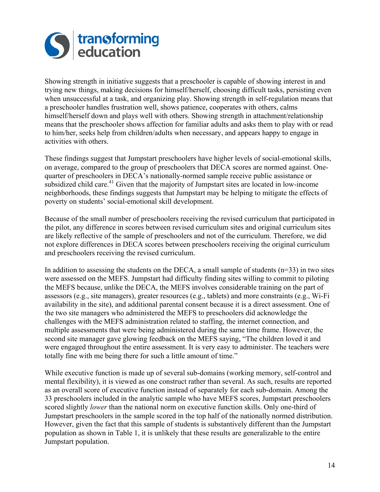

Showing strength in initiative suggests that a preschooler is capable of showing interest in and trying new things, making decisions for himself/herself, choosing difficult tasks, persisting even when unsuccessful at a task, and organizing play. Showing strength in self-regulation means that a preschooler handles frustration well, shows patience, cooperates with others, calms himself/herself down and plays well with others. Showing strength in attachment/relationship means that the preschooler shows affection for familiar adults and asks them to play with or read to him/her, seeks help from children/adults when necessary, and appears happy to engage in activities with others.

These findings suggest that Jumpstart preschoolers have higher levels of social-emotional skills, on average, compared to the group of preschoolers that DECA scores are normed against. Onequarter of preschoolers in DECA's nationally-normed sample receive public assistance or subsidized child care.<sup>41</sup> Given that the majority of Jumpstart sites are located in low-income neighborhoods, these findings suggests that Jumpstart may be helping to mitigate the effects of poverty on students' social-emotional skill development.

Because of the small number of preschoolers receiving the revised curriculum that participated in the pilot, any difference in scores between revised curriculum sites and original curriculum sites are likely reflective of the sample of preschoolers and not of the curriculum. Therefore, we did not explore differences in DECA scores between preschoolers receiving the original curriculum and preschoolers receiving the revised curriculum.

In addition to assessing the students on the DECA, a small sample of students  $(n=33)$  in two sites were assessed on the MEFS. Jumpstart had difficulty finding sites willing to commit to piloting the MEFS because, unlike the DECA, the MEFS involves considerable training on the part of assessors (e.g., site managers), greater resources (e.g., tablets) and more constraints (e.g., Wi-Fi availability in the site), and additional parental consent because it is a direct assessment. One of the two site managers who administered the MEFS to preschoolers did acknowledge the challenges with the MEFS administration related to staffing, the internet connection, and multiple assessments that were being administered during the same time frame. However, the second site manager gave glowing feedback on the MEFS saying, "The children loved it and were engaged throughout the entire assessment. It is very easy to administer. The teachers were totally fine with me being there for such a little amount of time."

While executive function is made up of several sub-domains (working memory, self-control and mental flexibility), it is viewed as one construct rather than several. As such, results are reported as an overall score of executive function instead of separately for each sub-domain. Among the 33 preschoolers included in the analytic sample who have MEFS scores, Jumpstart preschoolers scored slightly *lower* than the national norm on executive function skills. Only one-third of Jumpstart preschoolers in the sample scored in the top half of the nationally normed distribution. However, given the fact that this sample of students is substantively different than the Jumpstart population as shown in Table 1, it is unlikely that these results are generalizable to the entire Jumpstart population.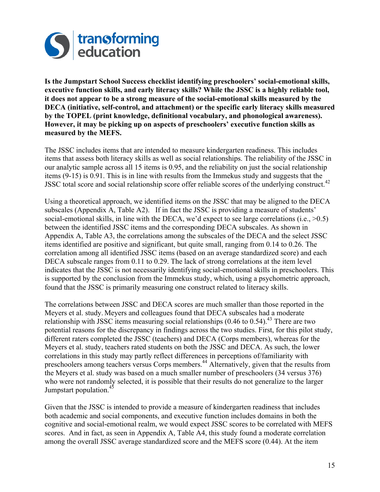

**Is the Jumpstart School Success checklist identifying preschoolers' social-emotional skills, executive function skills, and early literacy skills? While the JSSC is a highly reliable tool, it does not appear to be a strong measure of the social-emotional skills measured by the DECA (initiative, self-control, and attachment) or the specific early literacy skills measured by the TOPEL (print knowledge, definitional vocabulary, and phonological awareness). However, it may be picking up on aspects of preschoolers' executive function skills as measured by the MEFS.**

The JSSC includes items that are intended to measure kindergarten readiness. This includes items that assess both literacy skills as well as social relationships. The reliability of the JSSC in our analytic sample across all 15 items is 0.95, and the reliability on just the social relationship items (9-15) is 0.91. This is in line with results from the Immekus study and suggests that the JSSC total score and social relationship score offer reliable scores of the underlying construct.<sup>42</sup>

Using a theoretical approach, we identified items on the JSSC that may be aligned to the DECA subscales (Appendix A, Table A2). If in fact the JSSC is providing a measure of students' social-emotional skills, in line with the DECA, we'd expect to see large correlations (i.e.,  $>0.5$ ) between the identified JSSC items and the corresponding DECA subscales. As shown in Appendix A, Table A3, the correlations among the subscales of the DECA and the select JSSC items identified are positive and significant, but quite small, ranging from 0.14 to 0.26. The correlation among all identified JSSC items (based on an average standardized score) and each DECA subscale ranges from 0.11 to 0.29. The lack of strong correlations at the item level indicates that the JSSC is not necessarily identifying social-emotional skills in preschoolers. This is supported by the conclusion from the Immekus study, which, using a psychometric approach, found that the JSSC is primarily measuring one construct related to literacy skills.

The correlations between JSSC and DECA scores are much smaller than those reported in the Meyers et al. study. Meyers and colleagues found that DECA subscales had a moderate relationship with JSSC items measuring social relationships  $(0.46 \text{ to } 0.54)$ .<sup>43</sup> There are two potential reasons for the discrepancy in findings across the two studies. First, for this pilot study, different raters completed the JSSC (teachers) and DECA (Corps members), whereas for the Meyers et al. study, teachers rated students on both the JSSC and DECA. As such, the lower correlations in this study may partly reflect differences in perceptions of/familiarity with preschoolers among teachers versus Corps members.<sup>44</sup> Alternatively, given that the results from the Meyers et al. study was based on a much smaller number of preschoolers (34 versus 376) who were not randomly selected, it is possible that their results do not generalize to the larger Jumpstart population.<sup>45</sup>

Given that the JSSC is intended to provide a measure of kindergarten readiness that includes both academic and social components, and executive function includes domains in both the cognitive and social-emotional realm, we would expect JSSC scores to be correlated with MEFS scores. And in fact, as seen in Appendix A, Table A4, this study found a moderate correlation among the overall JSSC average standardized score and the MEFS score (0.44). At the item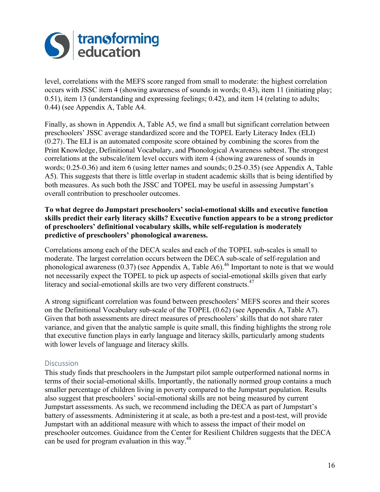

level, correlations with the MEFS score ranged from small to moderate: the highest correlation occurs with JSSC item 4 (showing awareness of sounds in words; 0.43), item 11 (initiating play; 0.51), item 13 (understanding and expressing feelings; 0.42), and item 14 (relating to adults; 0.44) (see Appendix A, Table A4.

Finally, as shown in Appendix A, Table A5, we find a small but significant correlation between preschoolers' JSSC average standardized score and the TOPEL Early Literacy Index (ELI) (0.27). The ELI is an automated composite score obtained by combining the scores from the Print Knowledge, Definitional Vocabulary, and Phonological Awareness subtest. The strongest correlations at the subscale/item level occurs with item 4 (showing awareness of sounds in words; 0.25-0.36) and item 6 (using letter names and sounds; 0.25-0.35) (see Appendix A, Table A5). This suggests that there is little overlap in student academic skills that is being identified by both measures. As such both the JSSC and TOPEL may be useful in assessing Jumpstart's overall contribution to preschooler outcomes.

#### **To what degree do Jumpstart preschoolers' social-emotional skills and executive function skills predict their early literacy skills? Executive function appears to be a strong predictor of preschoolers' definitional vocabulary skills, while self-regulation is moderately predictive of preschoolers' phonological awareness.**

Correlations among each of the DECA scales and each of the TOPEL sub-scales is small to moderate. The largest correlation occurs between the DECA sub-scale of self-regulation and phonological awareness (0.37) (see Appendix A, Table A6).<sup>46</sup> Important to note is that we would not necessarily expect the TOPEL to pick up aspects of social-emotional skills given that early literacy and social-emotional skills are two very different constructs.<sup>47</sup>

A strong significant correlation was found between preschoolers' MEFS scores and their scores on the Definitional Vocabulary sub-scale of the TOPEL (0.62) (see Appendix A, Table A7). Given that both assessments are direct measures of preschoolers' skills that do not share rater variance, and given that the analytic sample is quite small, this finding highlights the strong role that executive function plays in early language and literacy skills, particularly among students with lower levels of language and literacy skills.

#### **Discussion**

This study finds that preschoolers in the Jumpstart pilot sample outperformed national norms in terms of their social-emotional skills. Importantly, the nationally normed group contains a much smaller percentage of children living in poverty compared to the Jumpstart population. Results also suggest that preschoolers' social-emotional skills are not being measured by current Jumpstart assessments. As such, we recommend including the DECA as part of Jumpstart's battery of assessments. Administering it at scale, as both a pre-test and a post-test, will provide Jumpstart with an additional measure with which to assess the impact of their model on preschooler outcomes. Guidance from the Center for Resilient Children suggests that the DECA can be used for program evaluation in this way.<sup>48</sup>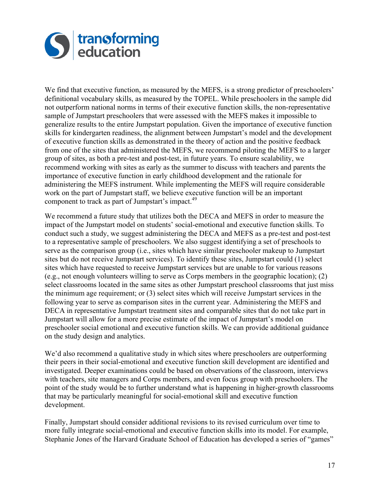

We find that executive function, as measured by the MEFS, is a strong predictor of preschoolers' definitional vocabulary skills, as measured by the TOPEL. While preschoolers in the sample did not outperform national norms in terms of their executive function skills, the non-representative sample of Jumpstart preschoolers that were assessed with the MEFS makes it impossible to generalize results to the entire Jumpstart population. Given the importance of executive function skills for kindergarten readiness, the alignment between Jumpstart's model and the development of executive function skills as demonstrated in the theory of action and the positive feedback from one of the sites that administered the MEFS, we recommend piloting the MEFS to a larger group of sites, as both a pre-test and post-test, in future years. To ensure scalability, we recommend working with sites as early as the summer to discuss with teachers and parents the importance of executive function in early childhood development and the rationale for administering the MEFS instrument. While implementing the MEFS will require considerable work on the part of Jumpstart staff, we believe executive function will be an important component to track as part of Jumpstart's impact.<sup>49</sup>

We recommend a future study that utilizes both the DECA and MEFS in order to measure the impact of the Jumpstart model on students' social-emotional and executive function skills. To conduct such a study, we suggest administering the DECA and MEFS as a pre-test and post-test to a representative sample of preschoolers. We also suggest identifying a set of preschools to serve as the comparison group (i.e., sites which have similar preschooler makeup to Jumpstart sites but do not receive Jumpstart services). To identify these sites, Jumpstart could (1) select sites which have requested to receive Jumpstart services but are unable to for various reasons (e.g., not enough volunteers willing to serve as Corps members in the geographic location); (2) select classrooms located in the same sites as other Jumpstart preschool classrooms that just miss the minimum age requirement; or (3) select sites which will receive Jumpstart services in the following year to serve as comparison sites in the current year. Administering the MEFS and DECA in representative Jumpstart treatment sites and comparable sites that do not take part in Jumpstart will allow for a more precise estimate of the impact of Jumpstart's model on preschooler social emotional and executive function skills. We can provide additional guidance on the study design and analytics.

We'd also recommend a qualitative study in which sites where preschoolers are outperforming their peers in their social-emotional and executive function skill development are identified and investigated. Deeper examinations could be based on observations of the classroom, interviews with teachers, site managers and Corps members, and even focus group with preschoolers. The point of the study would be to further understand what is happening in higher-growth classrooms that may be particularly meaningful for social-emotional skill and executive function development.

Finally, Jumpstart should consider additional revisions to its revised curriculum over time to more fully integrate social-emotional and executive function skills into its model. For example, Stephanie Jones of the Harvard Graduate School of Education has developed a series of "games"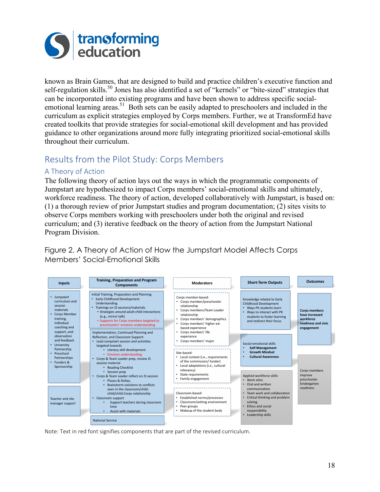

known as Brain Games, that are designed to build and practice children's executive function and self-regulation skills.<sup>50</sup> Jones has also identified a set of "kernels" or "bite-sized" strategies that can be incorporated into existing programs and have been shown to address specific socialemotional learning areas.<sup>51</sup> Both sets can be easily adapted to preschoolers and included in the curriculum as explicit strategies employed by Corps members. Further, we at TransformEd have created toolkits that provide strategies for social-emotional skill development and has provided guidance to other organizations around more fully integrating prioritized social-emotional skills throughout their curriculum.

# Results from the Pilot Study: Corps Members

### A Theory of Action

The following theory of action lays out the ways in which the programmatic components of Jumpstart are hypothesized to impact Corps members' social-emotional skills and ultimately, workforce readiness. The theory of action, developed collaboratively with Jumpstart, is based on: (1) a thorough review of prior Jumpstart studies and program documentation; (2) sites visits to observe Corps members working with preschoolers under both the original and revised curriculum; and (3) iterative feedback on the theory of action from the Jumpstart National Program Division.

Figure 2. A Theory of Action of How the Jumpstart Model Affects Corps Members' Social-Emotional Skills



Note: Text in red font signifies components that are part of the revised curriculum.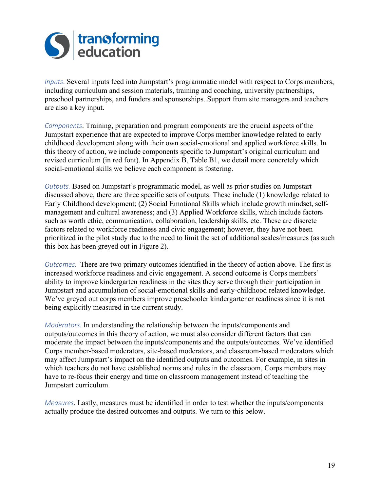

*Inputs*. Several inputs feed into Jumpstart's programmatic model with respect to Corps members, including curriculum and session materials, training and coaching, university partnerships, preschool partnerships, and funders and sponsorships. Support from site managers and teachers are also a key input.

*Components*. Training, preparation and program components are the crucial aspects of the Jumpstart experience that are expected to improve Corps member knowledge related to early childhood development along with their own social-emotional and applied workforce skills. In this theory of action, we include components specific to Jumpstart's original curriculum and revised curriculum (in red font). In Appendix B, Table B1, we detail more concretely which social-emotional skills we believe each component is fostering.

*Outputs.* Based on Jumpstart's programmatic model, as well as prior studies on Jumpstart discussed above, there are three specific sets of outputs. These include (1) knowledge related to Early Childhood development; (2) Social Emotional Skills which include growth mindset, selfmanagement and cultural awareness; and (3) Applied Workforce skills, which include factors such as worth ethic, communication, collaboration, leadership skills, etc. These are discrete factors related to workforce readiness and civic engagement; however, they have not been prioritized in the pilot study due to the need to limit the set of additional scales/measures (as such this box has been greyed out in Figure 2).

*Outcomes.*  There are two primary outcomes identified in the theory of action above. The first is increased workforce readiness and civic engagement. A second outcome is Corps members' ability to improve kindergarten readiness in the sites they serve through their participation in Jumpstart and accumulation of social-emotional skills and early-childhood related knowledge. We've greyed out corps members improve preschooler kindergartener readiness since it is not being explicitly measured in the current study.

*Moderators.* In understanding the relationship between the inputs/components and outputs/outcomes in this theory of action, we must also consider different factors that can moderate the impact between the inputs/components and the outputs/outcomes. We've identified Corps member-based moderators, site-based moderators, and classroom-based moderators which may affect Jumpstart's impact on the identified outputs and outcomes. For example, in sites in which teachers do not have established norms and rules in the classroom, Corps members may have to re-focus their energy and time on classroom management instead of teaching the Jumpstart curriculum.

*Measures*. Lastly, measures must be identified in order to test whether the inputs/components actually produce the desired outcomes and outputs. We turn to this below.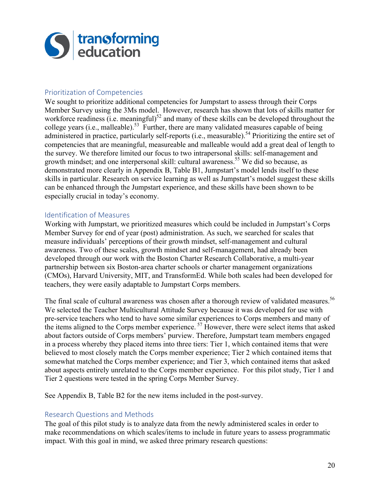

#### Prioritization of Competencies

We sought to prioritize additional competencies for Jumpstart to assess through their Corps Member Survey using the 3Ms model. However, research has shown that lots of skills matter for workforce readiness (i.e. meaningful)<sup>52</sup> and many of these skills can be developed throughout the college years (i.e., malleable).<sup>53</sup> Further, there are many validated measures capable of being administered in practice, particularly self-reports (i.e., measurable).<sup>54</sup> Prioritizing the entire set of competencies that are meaningful, measureable and malleable would add a great deal of length to the survey. We therefore limited our focus to two intrapersonal skills: self-management and growth mindset; and one interpersonal skill: cultural awareness.<sup>55</sup> We did so because, as demonstrated more clearly in Appendix B, Table B1, Jumpstart's model lends itself to these skills in particular. Research on service learning as well as Jumpstart's model suggest these skills can be enhanced through the Jumpstart experience, and these skills have been shown to be especially crucial in today's economy.

#### Identification of Measures

Working with Jumpstart, we prioritized measures which could be included in Jumpstart's Corps Member Survey for end of year (post) administration. As such, we searched for scales that measure individuals' perceptions of their growth mindset, self-management and cultural awareness. Two of these scales, growth mindset and self-management, had already been developed through our work with the Boston Charter Research Collaborative, a multi-year partnership between six Boston-area charter schools or charter management organizations (CMOs), Harvard University, MIT, and TransformEd. While both scales had been developed for teachers, they were easily adaptable to Jumpstart Corps members.

The final scale of cultural awareness was chosen after a thorough review of validated measures.<sup>56</sup> We selected the Teacher Multicultural Attitude Survey because it was developed for use with pre-service teachers who tend to have some similar experiences to Corps members and many of the items aligned to the Corps member experience.<sup>57</sup> However, there were select items that asked about factors outside of Corps members' purview. Therefore, Jumpstart team members engaged in a process whereby they placed items into three tiers: Tier 1, which contained items that were believed to most closely match the Corps member experience; Tier 2 which contained items that somewhat matched the Corps member experience; and Tier 3, which contained items that asked about aspects entirely unrelated to the Corps member experience. For this pilot study, Tier 1 and Tier 2 questions were tested in the spring Corps Member Survey.

See Appendix B, Table B2 for the new items included in the post-survey.

#### Research Questions and Methods

The goal of this pilot study is to analyze data from the newly administered scales in order to make recommendations on which scales/items to include in future years to assess programmatic impact. With this goal in mind, we asked three primary research questions: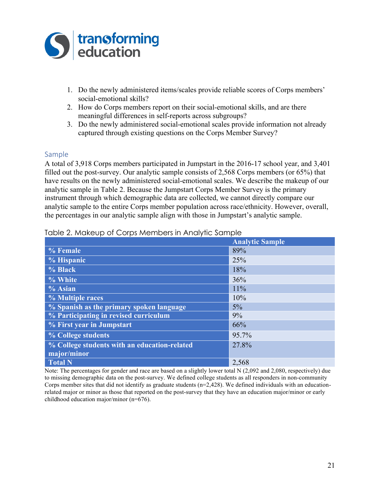

- 1. Do the newly administered items/scales provide reliable scores of Corps members' social-emotional skills?
- 2. How do Corps members report on their social-emotional skills, and are there meaningful differences in self-reports across subgroups?
- 3. Do the newly administered social-emotional scales provide information not already captured through existing questions on the Corps Member Survey?

#### Sample

A total of 3,918 Corps members participated in Jumpstart in the 2016-17 school year, and 3,401 filled out the post-survey. Our analytic sample consists of 2,568 Corps members (or 65%) that have results on the newly administered social-emotional scales. We describe the makeup of our analytic sample in Table 2. Because the Jumpstart Corps Member Survey is the primary instrument through which demographic data are collected, we cannot directly compare our analytic sample to the entire Corps member population across race/ethnicity. However, overall, the percentages in our analytic sample align with those in Jumpstart's analytic sample.

|                                              | <b>Analytic Sample</b> |
|----------------------------------------------|------------------------|
| % Female                                     | 89%                    |
| % Hispanic                                   | 25%                    |
| % Black                                      | 18%                    |
| % White                                      | 36%                    |
| $%$ Asian                                    | 11%                    |
| % Multiple races                             | 10%                    |
| % Spanish as the primary spoken language     | $5\%$                  |
| % Participating in revised curriculum        | 9%                     |
| % First year in Jumpstart                    | 66%                    |
| % College students                           | 95.7%                  |
| % College students with an education-related | 27.8%                  |
| major/minor                                  |                        |
| <b>Total N</b>                               | 2,568                  |

#### Table 2. Makeup of Corps Members in Analytic Sample

Note: The percentages for gender and race are based on a slightly lower total N (2,092 and 2,080, respectively) due to missing demographic data on the post-survey. We defined college students as all responders in non-community Corps member sites that did not identify as graduate students  $(n=2,428)$ . We defined individuals with an educationrelated major or minor as those that reported on the post-survey that they have an education major/minor or early childhood education major/minor (n=676).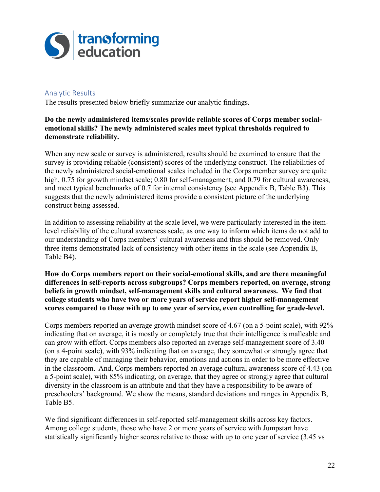

#### **Analytic Results**

The results presented below briefly summarize our analytic findings.

#### **Do the newly administered items/scales provide reliable scores of Corps member socialemotional skills? The newly administered scales meet typical thresholds required to demonstrate reliability.**

When any new scale or survey is administered, results should be examined to ensure that the survey is providing reliable (consistent) scores of the underlying construct. The reliabilities of the newly administered social-emotional scales included in the Corps member survey are quite high, 0.75 for growth mindset scale; 0.80 for self-management; and 0.79 for cultural awareness, and meet typical benchmarks of 0.7 for internal consistency (see Appendix B, Table B3). This suggests that the newly administered items provide a consistent picture of the underlying construct being assessed.

In addition to assessing reliability at the scale level, we were particularly interested in the itemlevel reliability of the cultural awareness scale, as one way to inform which items do not add to our understanding of Corps members' cultural awareness and thus should be removed. Only three items demonstrated lack of consistency with other items in the scale (see Appendix B, Table B4).

**How do Corps members report on their social-emotional skills, and are there meaningful differences in self-reports across subgroups? Corps members reported, on average, strong beliefs in growth mindset, self-management skills and cultural awareness. We find that college students who have two or more years of service report higher self-management scores compared to those with up to one year of service, even controlling for grade-level.**

Corps members reported an average growth mindset score of 4.67 (on a 5-point scale), with 92% indicating that on average, it is mostly or completely true that their intelligence is malleable and can grow with effort. Corps members also reported an average self-management score of 3.40 (on a 4-point scale), with 93% indicating that on average, they somewhat or strongly agree that they are capable of managing their behavior, emotions and actions in order to be more effective in the classroom. And, Corps members reported an average cultural awareness score of 4.43 (on a 5-point scale), with 85% indicating, on average, that they agree or strongly agree that cultural diversity in the classroom is an attribute and that they have a responsibility to be aware of preschoolers' background. We show the means, standard deviations and ranges in Appendix B, Table B5.

We find significant differences in self-reported self-management skills across key factors. Among college students, those who have 2 or more years of service with Jumpstart have statistically significantly higher scores relative to those with up to one year of service (3.45 vs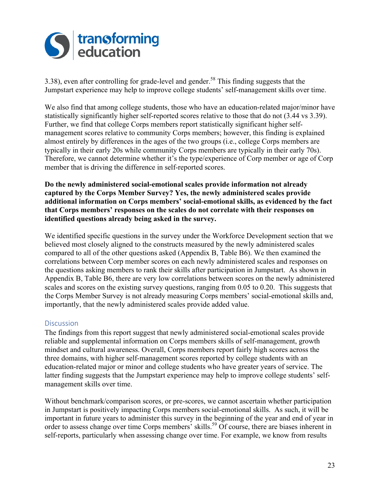

3.38), even after controlling for grade-level and gender.<sup>58</sup> This finding suggests that the Jumpstart experience may help to improve college students' self-management skills over time.

We also find that among college students, those who have an education-related major/minor have statistically significantly higher self-reported scores relative to those that do not (3.44 vs 3.39). Further, we find that college Corps members report statistically significant higher selfmanagement scores relative to community Corps members; however, this finding is explained almost entirely by differences in the ages of the two groups (i.e., college Corps members are typically in their early 20s while community Corps members are typically in their early 70s). Therefore, we cannot determine whether it's the type/experience of Corp member or age of Corp member that is driving the difference in self-reported scores.

**Do the newly administered social-emotional scales provide information not already captured by the Corps Member Survey? Yes, the newly administered scales provide additional information on Corps members' social-emotional skills, as evidenced by the fact that Corps members' responses on the scales do not correlate with their responses on identified questions already being asked in the survey.** 

We identified specific questions in the survey under the Workforce Development section that we believed most closely aligned to the constructs measured by the newly administered scales compared to all of the other questions asked (Appendix B, Table B6). We then examined the correlations between Corp member scores on each newly administered scales and responses on the questions asking members to rank their skills after participation in Jumpstart. As shown in Appendix B, Table B6, there are very low correlations between scores on the newly administered scales and scores on the existing survey questions, ranging from 0.05 to 0.20. This suggests that the Corps Member Survey is not already measuring Corps members' social-emotional skills and, importantly, that the newly administered scales provide added value.

#### **Discussion**

The findings from this report suggest that newly administered social-emotional scales provide reliable and supplemental information on Corps members skills of self-management, growth mindset and cultural awareness. Overall, Corps members report fairly high scores across the three domains, with higher self-management scores reported by college students with an education-related major or minor and college students who have greater years of service. The latter finding suggests that the Jumpstart experience may help to improve college students' selfmanagement skills over time.

Without benchmark/comparison scores, or pre-scores, we cannot ascertain whether participation in Jumpstart is positively impacting Corps members social-emotional skills. As such, it will be important in future years to administer this survey in the beginning of the year and end of year in order to assess change over time Corps members' skills.<sup>59</sup> Of course, there are biases inherent in self-reports, particularly when assessing change over time. For example, we know from results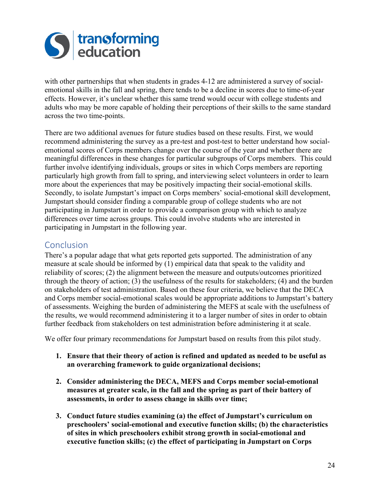

with other partnerships that when students in grades 4-12 are administered a survey of socialemotional skills in the fall and spring, there tends to be a decline in scores due to time-of-year effects. However, it's unclear whether this same trend would occur with college students and adults who may be more capable of holding their perceptions of their skills to the same standard across the two time-points.

There are two additional avenues for future studies based on these results. First, we would recommend administering the survey as a pre-test and post-test to better understand how socialemotional scores of Corps members change over the course of the year and whether there are meaningful differences in these changes for particular subgroups of Corps members. This could further involve identifying individuals, groups or sites in which Corps members are reporting particularly high growth from fall to spring, and interviewing select volunteers in order to learn more about the experiences that may be positively impacting their social-emotional skills. Secondly, to isolate Jumpstart's impact on Corps members' social-emotional skill development, Jumpstart should consider finding a comparable group of college students who are not participating in Jumpstart in order to provide a comparison group with which to analyze differences over time across groups. This could involve students who are interested in participating in Jumpstart in the following year.

### Conclusion

There's a popular adage that what gets reported gets supported. The administration of any measure at scale should be informed by (1) empirical data that speak to the validity and reliability of scores; (2) the alignment between the measure and outputs/outcomes prioritized through the theory of action; (3) the usefulness of the results for stakeholders; (4) and the burden on stakeholders of test administration. Based on these four criteria, we believe that the DECA and Corps member social-emotional scales would be appropriate additions to Jumpstart's battery of assessments. Weighing the burden of administering the MEFS at scale with the usefulness of the results, we would recommend administering it to a larger number of sites in order to obtain further feedback from stakeholders on test administration before administering it at scale.

We offer four primary recommendations for Jumpstart based on results from this pilot study.

- **1. Ensure that their theory of action is refined and updated as needed to be useful as an overarching framework to guide organizational decisions;**
- **2. Consider administering the DECA, MEFS and Corps member social-emotional measures at greater scale, in the fall and the spring as part of their battery of assessments, in order to assess change in skills over time;**
- **3. Conduct future studies examining (a) the effect of Jumpstart's curriculum on preschoolers' social-emotional and executive function skills; (b) the characteristics of sites in which preschoolers exhibit strong growth in social-emotional and executive function skills; (c) the effect of participating in Jumpstart on Corps**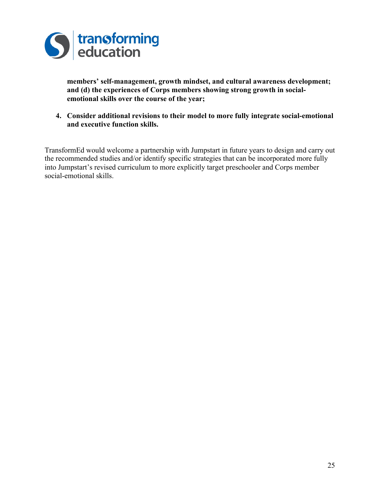

**members' self-management, growth mindset, and cultural awareness development; and (d) the experiences of Corps members showing strong growth in socialemotional skills over the course of the year;** 

**4. Consider additional revisions to their model to more fully integrate social-emotional and executive function skills.**

TransformEd would welcome a partnership with Jumpstart in future years to design and carry out the recommended studies and/or identify specific strategies that can be incorporated more fully into Jumpstart's revised curriculum to more explicitly target preschooler and Corps member social-emotional skills.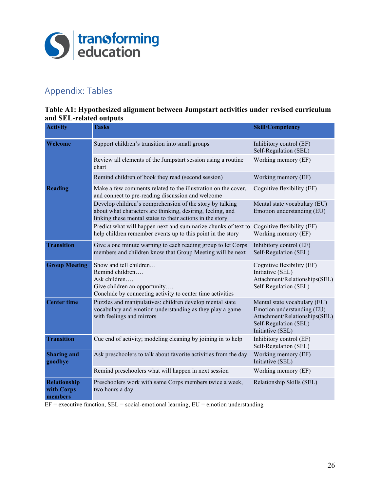

# Appendix: Tables

#### **Table A1: Hypothesized alignment between Jumpstart activities under revised curriculum and SEL-related outputs**

| <b>Activity</b>                              | Tasks                                                                                                                                                                               | <b>Skill/Competency</b>                                                                                                                  |
|----------------------------------------------|-------------------------------------------------------------------------------------------------------------------------------------------------------------------------------------|------------------------------------------------------------------------------------------------------------------------------------------|
| <b>Welcome</b>                               | Support children's transition into small groups                                                                                                                                     | Inhibitory control (EF)<br>Self-Regulation (SEL)                                                                                         |
|                                              | Review all elements of the Jumpstart session using a routine<br>chart                                                                                                               | Working memory (EF)                                                                                                                      |
|                                              | Remind children of book they read (second session)                                                                                                                                  | Working memory (EF)                                                                                                                      |
| <b>Reading</b>                               | Make a few comments related to the illustration on the cover,<br>and connect to pre-reading discussion and welcome                                                                  | Cognitive flexibility (EF)                                                                                                               |
|                                              | Develop children's comprehension of the story by talking<br>about what characters are thinking, desiring, feeling, and<br>linking these mental states to their actions in the story | Mental state vocabulary (EU)<br>Emotion understanding (EU)                                                                               |
|                                              | Predict what will happen next and summarize chunks of text to<br>help children remember events up to this point in the story                                                        | Cognitive flexibility (EF)<br>Working memory (EF)                                                                                        |
| <b>Transition</b>                            | Give a one minute warning to each reading group to let Corps<br>members and children know that Group Meeting will be next                                                           | Inhibitory control (EF)<br>Self-Regulation (SEL)                                                                                         |
| <b>Group Meeting</b>                         | Show and tell children<br>Remind children<br>Ask children<br>Give children an opportunity<br>Conclude by connecting activity to center time activities                              | Cognitive flexibility (EF)<br>Initiative (SEL)<br>Attachment/Relationships(SEL)<br>Self-Regulation (SEL)                                 |
| <b>Center time</b>                           | Puzzles and manipulatives: children develop mental state<br>vocabulary and emotion understanding as they play a game<br>with feelings and mirrors                                   | Mental state vocabulary (EU)<br>Emotion understanding (EU)<br>Attachment/Relationships(SEL)<br>Self-Regulation (SEL)<br>Initiative (SEL) |
| <b>Transition</b>                            | Cue end of activity; modeling cleaning by joining in to help                                                                                                                        | Inhibitory control (EF)<br>Self-Regulation (SEL)                                                                                         |
| <b>Sharing and</b><br>goodbye                | Ask preschoolers to talk about favorite activities from the day                                                                                                                     | Working memory (EF)<br>Initiative (SEL)                                                                                                  |
|                                              | Remind preschoolers what will happen in next session                                                                                                                                | Working memory (EF)                                                                                                                      |
| <b>Relationship</b><br>with Corps<br>members | Preschoolers work with same Corps members twice a week,<br>two hours a day                                                                                                          | Relationship Skills (SEL)                                                                                                                |

 $EF =$  executive function,  $SEL =$  social-emotional learning,  $EU =$  emotion understanding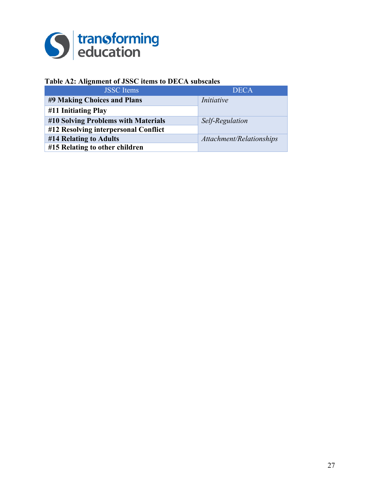

#### **Table A2: Alignment of JSSC items to DECA subscales**

| <b>JSSC</b> Items                    | <b>DECA</b>              |
|--------------------------------------|--------------------------|
| #9 Making Choices and Plans          | Initiative               |
| #11 Initiating Play                  |                          |
| #10 Solving Problems with Materials  | Self-Regulation          |
| #12 Resolving interpersonal Conflict |                          |
| #14 Relating to Adults               | Attachment/Relationships |
| #15 Relating to other children       |                          |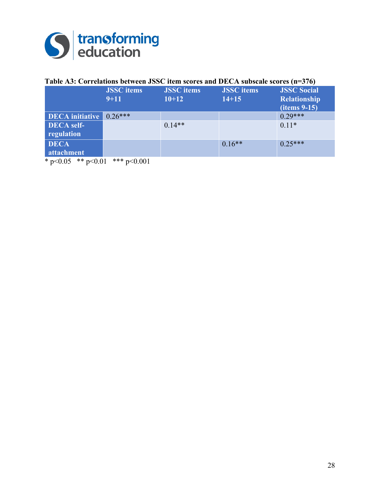

### **Table A3: Correlations between JSSC item scores and DECA subscale scores (n=376)**

|                        | <b>JSSC</b> items<br>$9 + 11$ | <b>JSSC</b> items<br>$10+12$ | <b>JSSC</b> items<br>$14 + 15$ | <b>JSSC Social</b><br><b>Relationship</b><br>$(items 9-15)$ |
|------------------------|-------------------------------|------------------------------|--------------------------------|-------------------------------------------------------------|
|                        |                               |                              |                                |                                                             |
| <b>DECA</b> initiative | $0.26***$                     |                              |                                | $0.29***$                                                   |
| <b>DECA</b> self-      |                               | $0.14**$                     |                                | $0.11*$                                                     |
| regulation             |                               |                              |                                |                                                             |
| <b>DECA</b>            |                               |                              | $0.16**$                       | $0.25***$                                                   |
| attachment             |                               |                              |                                |                                                             |
| $* -0.05$ $* * -0.01$  | *** $\sim$ 0.01               |                              |                                |                                                             |

\* p<0.05 \*\* p<0.01 \*\*\* p<0.001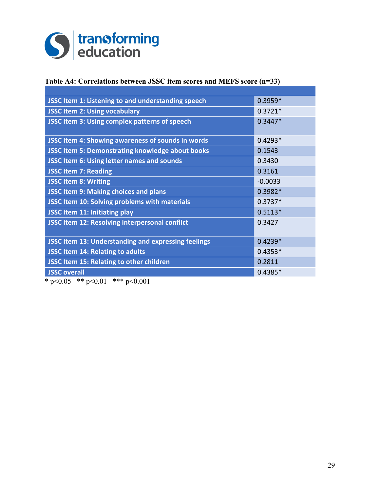

#### **Table A4: Correlations between JSSC item scores and MEFS score (n=33)**

| JSSC Item 1: Listening to and understanding speech         | $0.3959*$ |
|------------------------------------------------------------|-----------|
| <b>JSSC Item 2: Using vocabulary</b>                       | $0.3721*$ |
| JSSC Item 3: Using complex patterns of speech              | $0.3447*$ |
|                                                            |           |
| JSSC Item 4: Showing awareness of sounds in words          | $0.4293*$ |
| <b>JSSC Item 5: Demonstrating knowledge about books</b>    | 0.1543    |
| <b>JSSC Item 6: Using letter names and sounds</b>          | 0.3430    |
| <b>JSSC Item 7: Reading</b>                                | 0.3161    |
| <b>JSSC Item 8: Writing</b>                                | $-0.0033$ |
| <b>JSSC Item 9: Making choices and plans</b>               | $0.3982*$ |
| <b>JSSC Item 10: Solving problems with materials</b>       | $0.3737*$ |
| <b>JSSC Item 11: Initiating play</b>                       | $0.5113*$ |
| <b>JSSC Item 12: Resolving interpersonal conflict</b>      | 0.3427    |
|                                                            |           |
| <b>JSSC Item 13: Understanding and expressing feelings</b> | $0.4239*$ |
| JSSC Item 14: Relating to adults                           | $0.4353*$ |
| JSSC Item 15: Relating to other children                   | 0.2811    |
| <b>JSSC overall</b>                                        | $0.4385*$ |

 $*$  p<0.05  $*$  p <0.01  $*$  \*\* p <0.001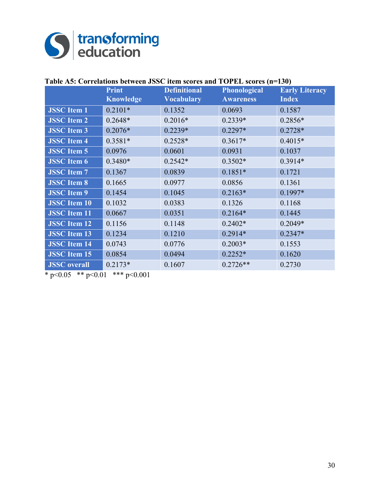

|                     | <b>Print</b>     | <b>Definitional</b> | <b>Phonological</b> | <b>Early Literacy</b> |
|---------------------|------------------|---------------------|---------------------|-----------------------|
|                     | <b>Knowledge</b> | <b>Vocabulary</b>   | <b>Awareness</b>    | <b>Index</b>          |
| <b>JSSC</b> Item 1  | $0.2101*$        | 0.1352              | 0.0693              | 0.1587                |
| <b>JSSC</b> Item 2  | $0.2648*$        | $0.2016*$           | $0.2339*$           | $0.2856*$             |
| <b>JSSC</b> Item 3  | $0.2076*$        | $0.2239*$           | $0.2297*$           | $0.2728*$             |
| <b>JSSC</b> Item 4  | $0.3581*$        | $0.2528*$           | $0.3617*$           | $0.4015*$             |
| <b>JSSC</b> Item 5  | 0.0976           | 0.0601              | 0.0931              | 0.1037                |
| <b>JSSC</b> Item 6  | $0.3480*$        | $0.2542*$           | $0.3502*$           | $0.3914*$             |
| <b>JSSC</b> Item 7  | 0.1367           | 0.0839              | $0.1851*$           | 0.1721                |
| <b>JSSC</b> Item 8  | 0.1665           | 0.0977              | 0.0856              | 0.1361                |
| <b>JSSC</b> Item 9  | 0.1454           | 0.1045              | $0.2163*$           | $0.1997*$             |
| <b>JSSC</b> Item 10 | 0.1032           | 0.0383              | 0.1326              | 0.1168                |
| <b>JSSC</b> Item 11 | 0.0667           | 0.0351              | $0.2164*$           | 0.1445                |
| <b>JSSC</b> Item 12 | 0.1156           | 0.1148              | $0.2402*$           | $0.2049*$             |
| <b>JSSC</b> Item 13 | 0.1234           | 0.1210              | $0.2914*$           | $0.2347*$             |
| <b>JSSC</b> Item 14 | 0.0743           | 0.0776              | $0.2003*$           | 0.1553                |
| <b>JSSC</b> Item 15 | 0.0854           | 0.0494              | $0.2252*$           | 0.1620                |
| <b>JSSC</b> overall | $0.2173*$        | 0.1607              | $0.2726**$          | 0.2730                |

 $* p < 0.05$   $* p < 0.01$   $* * p < 0.001$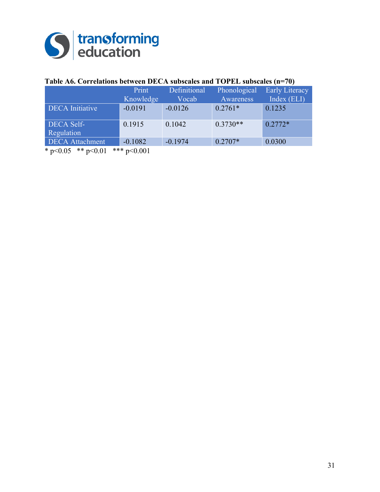

### **Table A6. Correlations between DECA subscales and TOPEL subscales (n=70)**

|                            | Print        | Definitional | Phonological | <b>Early Literacy</b> |
|----------------------------|--------------|--------------|--------------|-----------------------|
|                            | Knowledge    | Vocab        | Awareness    | Index (ELI)           |
| <b>DECA</b> Initiative     | $-0.0191$    | $-0.0126$    | $0.2761*$    | 0.1235                |
| <b>DECA Self-</b>          | 0.1915       | 0.1042       | $0.3730**$   | $0.2772*$             |
| Regulation                 |              |              |              |                       |
| <b>DECA</b> Attachment     | $-0.1082$    | $-0.1974$    | $0.2707*$    | 0.0300                |
| $*_{n>0}$ 05 $**_{n>0}$ 01 | $*** -0.001$ |              |              |                       |

\* p<0.05 \*\* p<0.01 \*\*\* p<0.001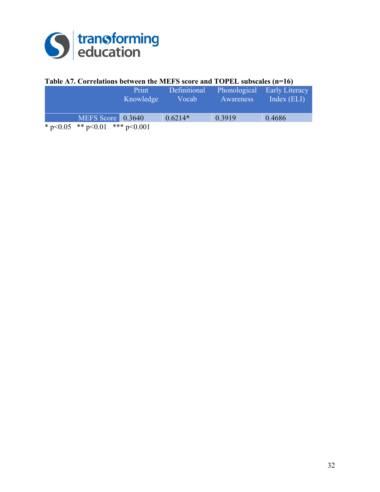

#### **Table A7. Correlations between the MEFS score and TOPEL subscales (n=16)**

| Print<br>Knowledge                   | Definitional<br>Vocab | Phonological<br>Awareness | <b>Early Literacy</b><br>Index $(ELI)$ |
|--------------------------------------|-----------------------|---------------------------|----------------------------------------|
| MEFS Score 0.3640                    | $0.6214*$             | 0.3919                    | 0.4686                                 |
| * $p<0.05$ ** $p<0.01$ *** $p<0.001$ |                       |                           |                                        |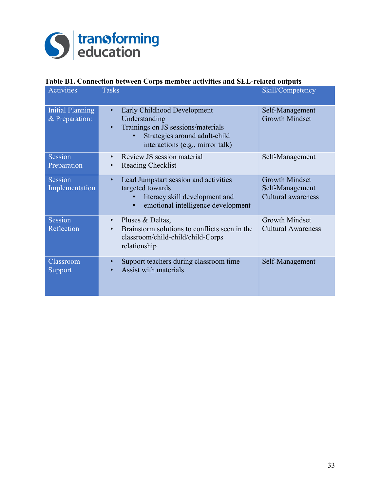

#### **Table B1. Connection between Corps member activities and SEL-related outputs**

| <b>Activities</b>                         | <b>Tasks</b>                                                                                                                                                                      | Skill/Competency                                               |
|-------------------------------------------|-----------------------------------------------------------------------------------------------------------------------------------------------------------------------------------|----------------------------------------------------------------|
| <b>Initial Planning</b><br>& Preparation: | Early Childhood Development<br>$\bullet$<br>Understanding<br>Trainings on JS sessions/materials<br>$\bullet$<br>Strategies around adult-child<br>interactions (e.g., mirror talk) | Self-Management<br><b>Growth Mindset</b>                       |
| Session<br>Preparation                    | Review JS session material<br>$\bullet$<br>Reading Checklist<br>$\bullet$                                                                                                         | Self-Management                                                |
| Session<br>Implementation                 | Lead Jumpstart session and activities<br>$\bullet$<br>targeted towards<br>literacy skill development and<br>emotional intelligence development<br>$\bullet$                       | <b>Growth Mindset</b><br>Self-Management<br>Cultural awareness |
| Session<br>Reflection                     | Pluses & Deltas,<br>$\bullet$<br>Brainstorm solutions to conflicts seen in the<br>$\bullet$<br>classroom/child-child/child-Corps<br>relationship                                  | <b>Growth Mindset</b><br><b>Cultural Awareness</b>             |
| Classroom<br>Support                      | Support teachers during classroom time<br>$\bullet$<br><b>Assist with materials</b><br>$\bullet$                                                                                  | Self-Management                                                |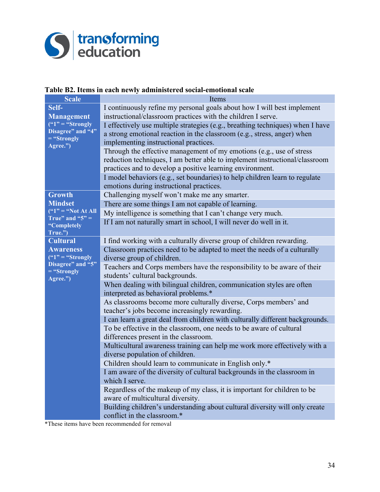

#### **Table B2. Items in each newly administered social-emotional scale**

| <b>Scale</b>                              | Items                                                                                     |
|-------------------------------------------|-------------------------------------------------------------------------------------------|
| Self-                                     | I continuously refine my personal goals about how I will best implement                   |
| <b>Management</b>                         | instructional/classroom practices with the children I serve.                              |
| $($ "1" = "Strongly"<br>Disagree" and "4" | I effectively use multiple strategies (e.g., breathing techniques) when I have            |
| $=$ "Strongly                             | a strong emotional reaction in the classroom (e.g., stress, anger) when                   |
| Agree.")                                  | implementing instructional practices.                                                     |
|                                           | Through the effective management of my emotions (e.g., use of stress                      |
|                                           | reduction techniques, I am better able to implement instructional/classroom               |
|                                           | practices and to develop a positive learning environment.                                 |
|                                           | I model behaviors (e.g., set boundaries) to help children learn to regulate               |
| <b>Growth</b>                             | emotions during instructional practices.<br>Challenging myself won't make me any smarter. |
| <b>Mindset</b>                            | There are some things I am not capable of learning.                                       |
| $(41")$ = "Not At All"                    | My intelligence is something that I can't change very much.                               |
| True" and " $5" =$                        | If I am not naturally smart in school, I will never do well in it.                        |
| "Completely<br>True.")                    |                                                                                           |
| <b>Cultural</b>                           | I find working with a culturally diverse group of children rewarding.                     |
| <b>Awareness</b>                          | Classroom practices need to be adapted to meet the needs of a culturally                  |
| $\frac{1}{2}$ = "Strongly"                | diverse group of children.                                                                |
| Disagree" and "5"                         | Teachers and Corps members have the responsibility to be aware of their                   |
| $=$ "Strongly<br>Agree.")                 | students' cultural backgrounds.                                                           |
|                                           | When dealing with bilingual children, communication styles are often                      |
|                                           | interpreted as behavioral problems.*                                                      |
|                                           | As classrooms become more culturally diverse, Corps members' and                          |
|                                           | teacher's jobs become increasingly rewarding.                                             |
|                                           | I can learn a great deal from children with culturally different backgrounds.             |
|                                           | To be effective in the classroom, one needs to be aware of cultural                       |
|                                           | differences present in the classroom.                                                     |
|                                           | Multicultural awareness training can help me work more effectively with a                 |
|                                           | diverse population of children.<br>Children should learn to communicate in English only.* |
|                                           | I am aware of the diversity of cultural backgrounds in the classroom in                   |
|                                           | which I serve.                                                                            |
|                                           | Regardless of the makeup of my class, it is important for children to be                  |
|                                           | aware of multicultural diversity.                                                         |
|                                           | Building children's understanding about cultural diversity will only create               |
|                                           | conflict in the classroom.*                                                               |

\*These items have been recommended for removal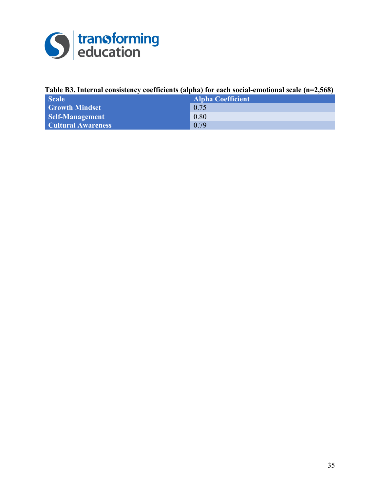

#### **Table B3. Internal consistency coefficients (alpha) for each social-emotional scale (n=2,568)**

| <b>Scale</b>              | <b>Alpha Coefficient</b> |
|---------------------------|--------------------------|
| <b>Growth Mindset</b>     | 0.75                     |
| <b>Self-Management</b>    | 0.80                     |
| <b>Cultural Awareness</b> | 0.79                     |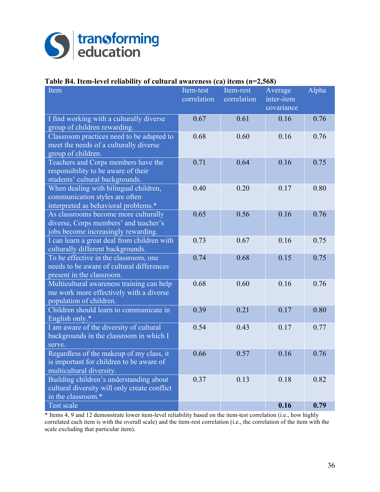

#### **Table B4. Item-level reliability of cultural awareness (ca) items (n=2,568)**

| Item                                                                                                                 | Item-test<br>correlation | Item-rest<br>correlation | Average<br>inter-item | Alpha |
|----------------------------------------------------------------------------------------------------------------------|--------------------------|--------------------------|-----------------------|-------|
|                                                                                                                      |                          |                          | covariance            |       |
| I find working with a culturally diverse<br>group of children rewarding.                                             | 0.67                     | 0.61                     | 0.16                  | 0.76  |
| Classroom practices need to be adapted to<br>meet the needs of a culturally diverse<br>group of children.            | 0.68                     | 0.60                     | 0.16                  | 0.76  |
| Teachers and Corps members have the<br>responsibility to be aware of their<br>students' cultural backgrounds.        | 0.71                     | 0.64                     | 0.16                  | 0.75  |
| When dealing with bilingual children,<br>communication styles are often<br>interpreted as behavioral problems.*      | 0.40                     | 0.20                     | 0.17                  | 0.80  |
| As classrooms become more culturally<br>diverse, Corps members' and teacher's<br>jobs become increasingly rewarding. | 0.65                     | 0.56                     | 0.16                  | 0.76  |
| I can learn a great deal from children with<br>culturally different backgrounds.                                     | 0.73                     | 0.67                     | 0.16                  | 0.75  |
| To be effective in the classroom, one<br>needs to be aware of cultural differences<br>present in the classroom.      | 0.74                     | 0.68                     | 0.15                  | 0.75  |
| Multicultural awareness training can help<br>me work more effectively with a diverse<br>population of children.      | 0.68                     | 0.60                     | 0.16                  | 0.76  |
| Children should learn to communicate in<br>English only.*                                                            | 0.39                     | 0.21                     | 0.17                  | 0.80  |
| I am aware of the diversity of cultural<br>backgrounds in the classroom in which I<br>serve.                         | 0.54                     | 0.43                     | 0.17                  | 0.77  |
| Regardless of the makeup of my class, it<br>is important for children to be aware of<br>multicultural diversity.     | 0.66                     | 0.57                     | 0.16                  | 0.76  |
| Building children's understanding about<br>cultural diversity will only create conflict<br>in the classroom.*        | 0.37                     | 0.13                     | 0.18                  | 0.82  |
| <b>Test scale</b>                                                                                                    |                          |                          | 0.16                  | 0.79  |

\* Items 4, 9 and 12 demonstrate lower item-level reliability based on the item-test correlation (i.e., how highly correlated each item is with the overall scale) and the item-rest correlation (i.e., the correlation of the item with the scale excluding that particular item).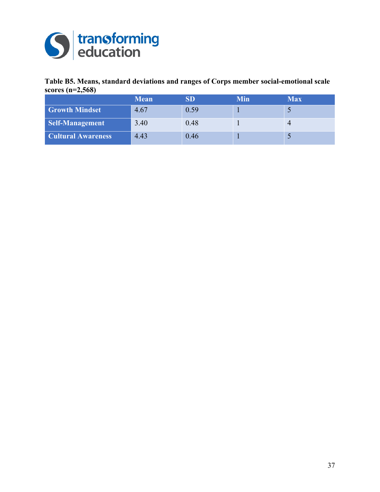

#### **Table B5. Means, standard deviations and ranges of Corps member social-emotional scale scores (n=2,568)**

|                           | <b>Mean</b> |      | Min | Max |
|---------------------------|-------------|------|-----|-----|
| <b>Growth Mindset</b>     | 4.67        | 0.59 |     |     |
| Self-Management           | 3.40        | 0.48 |     |     |
| <b>Cultural Awareness</b> | 4.43        | 0.46 |     |     |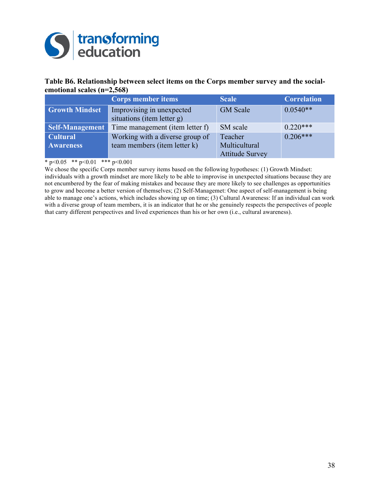

#### **Table B6. Relationship between select items on the Corps member survey and the socialemotional scales (n=2,568)**

|                                     | <b>Corps member items</b>                                       | <b>Scale</b>                                       | <b>Correlation</b> |
|-------------------------------------|-----------------------------------------------------------------|----------------------------------------------------|--------------------|
| <b>Growth Mindset</b>               | Improvising in unexpected<br>situations (item letter g)         | <b>GM</b> Scale                                    | $0.0540**$         |
| <b>Self-Management</b>              | Time management (item letter f)                                 | SM scale                                           | $0.220***$         |
| <b>Cultural</b><br><b>Awareness</b> | Working with a diverse group of<br>team members (item letter k) | Teacher<br>Multicultural<br><b>Attitude Survey</b> | $0.206***$         |

 $*$  p<0.05  $*$  p <0.01  $*$  \*\* p <0.001

We chose the specific Corps member survey items based on the following hypotheses: (1) Growth Mindset: individuals with a growth mindset are more likely to be able to improvise in unexpected situations because they are not encumbered by the fear of making mistakes and because they are more likely to see challenges as opportunities to grow and become a better version of themselves; (2) Self-Managemet: One aspect of self-management is being able to manage one's actions, which includes showing up on time; (3) Cultural Awareness: If an individual can work with a diverse group of team members, it is an indicator that he or she genuinely respects the perspectives of people that carry different perspectives and lived experiences than his or her own (i.e., cultural awareness).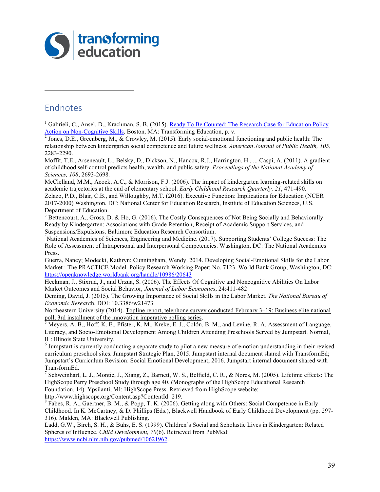

## Endnotes

 $\overline{a}$ 

<sup>1</sup> Gabrieli, C., Ansel, D., Krachman, S. B. (2015). Ready To Be Counted: The Research Case for Education Policy Action on Non-Cognitive Skills. Boston, MA: Transforming Education, p. v. <sup>2</sup> Jones, D.E., Greenberg, M., & Crowley, M. (2015). Early social-emotional functioning and public health: The

relationship between kindergarten social competence and future wellness. *American Journal of Public Health, 105*, 2283-2290.

Moffit, T.E., Arseneault, L., Belsky, D., Dickson, N., Hancox, R.J., Harrington, H., ... Caspi, A. (2011). A gradient of childhood self-control predicts health, wealth, and public safety. *Proceedings of the National Academy of Sciences, 108*, 2693-2698.

McClelland, M.M., Acock, A.C., & Morrison, F.J. (2006). The impact of kindergarten learning-related skills on academic trajectories at the end of elementary school. *Early Childhood Research Quarterly, 21*, 471-490.

Zelazo, P.D., Blair, C.B., and Willoughby, M.T. (2016). Executive Function: Implications for Education (NCER 2017-2000) Washington, DC: National Center for Education Research, Institute of Education Sciences, U.S. Department of Education.

<sup>3</sup> Bettencourt, A., Gross, D. & Ho, G. (2016). The Costly Consequences of Not Being Socially and Behaviorally Ready by Kindergarten: Associations with Grade Retention, Receipt of Academic Support Services, and Suspensions/Expulsions. Baltimore Education Research Consortium.

4 National Academies of Sciences, Engineering and Medicine. (2017). Supporting Students' College Success: The Role of Assessment of Intrapersonal and Interpersonal Competencies. Washington, DC: The National Academies Press.

Guerra, Nancy; Modecki, Kathryn; Cunningham, Wendy. 2014. Developing Social-Emotional Skills for the Labor Market : The PRACTICE Model. Policy Research Working Paper; No. 7123. World Bank Group, Washington, DC: https://openknowledge.worldbank.org/handle/10986/20643

Heckman, J., Stixrud, J., and Urzua, S. (2006). The Effects Of Cognitive and Noncognitive Abilities On Labor Market Outcomes and Social Behavior, *Journal of Labor Economics*, 24:411-482

Deming, David, J. (2015). The Growing Importance of Social Skills in the Labor Market. *The National Bureau of Economic Researc*h. DOI: 10.3386/w21473

Northeastern University (2014). Topline report, telephone survey conducted February 3–19: Business elite national poll, 3rd installment of the innovation imperative polling series.<br>
<sup>5</sup> Meyers, A. B., Hoff, K. E., Pfister, K. M., Kreke, E. J., Colón, B. M., and Levine, R. A. Assessment of Language,

Literacy, and Socio-Emotional Development Among Children Attending Preschools Served by Jumpstart. Normal, IL: Illinois State University.<br> $\frac{6}{10}$  Jumpstart is currently conducting a separate study to pilot a new measure of emotion understanding in their revised

curriculum preschool sites. Jumpstart Strategic Plan, 2015. Jumpstart internal document shared with TransformEd; Jumpstart's Curriculum Revision: Social Emotional Development; 2016. Jumpstart internal document shared with TransformEd.

<sup>7</sup> Schweinhart, L. J., Montie, J., Xiang, Z., Barnett, W. S., Belfield, C. R., & Nores, M. (2005). Lifetime effects: The HighScope Perry Preschool Study through age 40. (Monographs of the HighScope Educational Research Foundation, 14). Ypsilanti, MI: HighScope Press. Retrieved from HighScope website:

http://www.highscope.org/Content.asp?ContentId=219.<br><sup>8</sup> Fabes, R. A., Gaertner, B. M., & Popp, T. K. (2006). Getting along with Others: Social Competence in Early Childhood. In K. McCartney, & D. Phillips (Eds.), Blackwell Handbook of Early Childhood Development (pp. 297- 316). Malden, MA: Blackwell Publishing.

Ladd, G.W., Birch, S. H., & Buhs, E. S. (1999). Children's Social and Scholastic Lives in Kindergarten: Related Spheres of Influence. *Child Development, 70*(6). Retrieved from PubMed: https://www.ncbi.nlm.nih.gov/pubmed/10621962.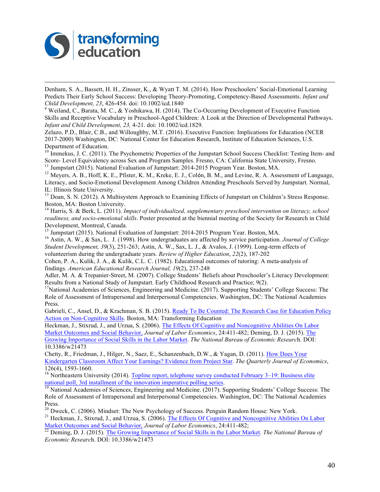

 Denham, S. A., Bassett, H. H., Zinsser, K., & Wyatt T. M. (2014). How Preschoolers' Social-Emotional Learning Predicts Their Early School Success: Developing Theory-Promoting, Competency-Based Assessments. *Infant and Child Development, 23, 426-454. doi: 10.1002/icd.1840 9* Weiland, C., Barata, M. C., & Yoshikawa, H. (2014). The Co-Occurring Development of Executive Function

Skills and Receptive Vocabulary in Preschool-Aged Children: A Look at the Direction of Developmental Pathways. *Infant and Child Development, 23,* 4-21. doi: 10.1002/icd.1829.

Zelazo, P.D., Blair, C.B., and Willoughby, M.T. (2016). Executive Function: Implications for Education (NCER 2017-2000) Washington, DC: National Center for Education Research, Institute of Education Sciences, U.S. Department of Education.

 $10$  Immekus, J. C. (2011). The Psychometric Properties of the Jumpstart School Success Checklist: Testing Item- and Score- Level Equivalency across Sex and Program Samples. Fresno, CA: California State University, Fresno.<br><sup>11</sup> Jumpstart (2015). National Evaluation of Jumpstart: 2014-2015 Program Year. Boston, MA.<br><sup>12</sup> Meyers, A. B., Hof

Literacy, and Socio-Emotional Development Among Children Attending Preschools Served by Jumpstart. Normal,

IL: Illinois State University.<br><sup>13</sup> Doan, S. N. (2012). A Multisystem Approach to Examining Effects of Jumpstart on Children's Stress Response. Boston, MA: Boston University.

<sup>14</sup> Harris, S. & Berk, L. (2011). *Impact of individualized, supplementary preschool intervention on literacy, school readiness, and socio-emotional skills*. Poster presented at the biennial meeting of the Society for Research in Child Development, Montreal, Canada.<br><sup>15</sup> Jumpstart (2015). National Evaluation of Jumpstart: 2014-2015 Program Year. Boston, MA.

<sup>16</sup> Astin, A. W., & Sax, L. J. (1998). How undergraduates are affected by service participation. *Journal of College Student Development, 39*(3), 251-263; Astin, A. W., Sax, L. J., & Avalos, J. (1999). Long-term effects of volunteerism during the undergraduate years*. Review of Higher Education*, *22*(2), 187-202

Cohen, P. A., Kulik, J. A., & Kulik, C.L. C. (1982). Educational outcomes of tutoring: A meta-analysis of findings. *American Educational Research Journal, 19*(2), 237-248

Adler, M. A. & Trepanier-Street, M. (2007). College Students' Beliefs about Preschooler's Literacy Development: Results from a National Study of Jumpstart. Early Childhood Research and Practice; 9(2).<br><sup>17</sup>National Academies of Sciences, Engineering and Medicine. (2017). Supporting Students' College Success: The

Role of Assessment of Intrapersonal and Interpersonal Competencies. Washington, DC: The National Academies Press.

Gabrieli, C., Ansel, D., & Krachman, S. B. (2015). Ready To Be Counted: The Research Case for Education Policy Action on Non-Cognitive Skills. Boston, MA: Transforming Education

Heckman, J., Stixrud, J., and Urzua, S. (2006). The Effects Of Cognitive and Noncognitive Abilities On Labor Market Outcomes and Social Behavior, *Journal of Labor Economics*, 24:411-482; Deming, D. J. (2015). The Growing Importance of Social Skills in the Labor Market. *The National Bureau of Economic Researc*h. DOI: 10.3386/w21473

Chetty, R., Friedman, J., Hilger, N., Saez, E., Schanzenbach, D.W., & Yagan, D. (2011). How Does Your Kindergarten Classroom Affect Your Earnings? Evidence from Project Star. *The Quarterly Journal of Economics*,

126(4), 1593-1660.<br><sup>18</sup> Northeastern University (2014). <u>Topline report, telephone survey conducted February 3–19: Business elite</u><br>national poll, 3rd installment of the innovation imperative polling series.

 $\frac{19}{19}$  National Academies of Sciences, Engineering and Medicine. (2017). Supporting Students' College Success: The Role of Assessment of Intrapersonal and Interpersonal Competencies. Washington, DC: The National Academies

Press.<br><sup>20</sup> Dweck, C. (2006). Mindset: The New Psychology of Success. Penguin Random House: New York.

<sup>21</sup> Heckman, J., Stixrud, J., and Urzua, S. (2006). The Effects Of Cognitive and Noncognitive Abilities On Labor Market Outcomes and Social Behavior, Journal of Labor Economics, 24:411-482;

 $\frac{22}{22}$  Deming, D. J. (2015). The Growing Importance of Social Skills in the Labor Market. *The National Bureau of Economic Researc*h. DOI: 10.3386/w21473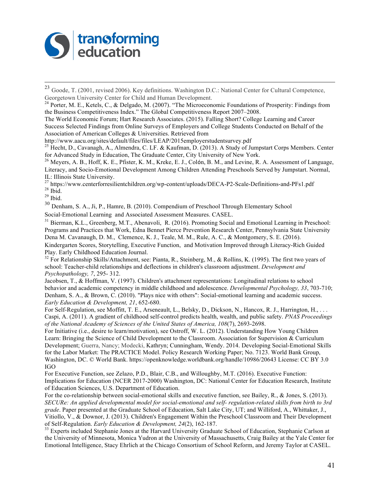

 23 Goode, T. (2001, revised 2006). Key definitions. Washington D.C.: National Center for Cultural Competence, Georgetown University Center for Child and Human Development.<br><sup>24</sup> Porter, M. E., Ketels, C., & Delgado, M. (2007). "The Microeconomic Foundations of Prosperity: Findings from

the Business Competitiveness Index." The Global Competitiveness Report 2007–2008.

The World Economic Forum; Hart Research Associates. (2015). Falling Short? College Learning and Career Success Selected Findings from Online Surveys of Employers and College Students Conducted on Behalf of the Association of American Colleges & Universities. Retrieved from<br>http://www.aacu.org/sites/default/files/files/LEAP/2015employerstudentsurvey.pdf

<sup>25</sup> Hecht, D., Cavanagh, A., Almendra, C. LF. & Kaufman, D. (2013). A Study of Jumpstart Corps Members. Center for Advanced Study in Education, The Graduate Center, City University of New York.

<sup>26</sup> Meyers, A. B., Hoff, K. E., Pfister, K. M., Kreke, E. J., Colón, B. M., and Levine, R. A. Assessment of Language, Literacy, and Socio-Emotional Development Among Children Attending Preschools Served by Jumpstart. Normal,

IL: Illinois State University.<br><sup>27</sup> https://www.centerforresilientchildren.org/wp-content/uploads/DECA-P2-Scale-Definitions-and-PFs1.pdf<br><sup>28</sup> Ibid.<br><sup>29</sup> Ibid.

<sup>30</sup> Denham, S. A., Ji, P., Hamre, B. (2010). Compendium of Preschool Through Elementary School Social-Emotional Learning and Associated Assessment Measures. CASEL.

<sup>31</sup> Bierman, K.L., Greenberg, M.T., Abenavoli, R. (2016). Promoting Social and Emotional Learning in Preschool: Programs and Practices that Work, Edna Bennet Pierce Prevention Research Center, Pennsylvania State University Dena M. Cavanaugh, D. M., Clemence, K. J., Teale, M. M., Rule, A. C., & Montgomery, S. E. (2016). Kindergarten Scores, Storytelling, Executive Function, and Motivation Improved through Literacy-Rich Guided Play. Early Childhood Education Journal.

<sup>32</sup> For Relationship Skills/Attachment, see: Pianta, R., Steinberg, M., & Rollins, K. (1995). The first two years of school: Teacher-child relationships and deflections in children's classroom adjustment. *Development and Psychopathology, 7*, 295- 312.

Jacobsen, T., & Hoffman, V. (1997). Children's attachment representations: Longitudinal relations to school behavior and academic competency in middle childhood and adolescence. *Developmental Psychology, 33*, 703-710; Denham, S. A., & Brown, C. (2010). "Plays nice with others": Social-emotional learning and academic success. *Early Education & Development, 21*, 652-680.

For Self-Regulation, see Moffitt, T. E., Arseneault, L., Belsky, D., Dickson, N., Hancox, R. J., Harrington, H., ... Caspi, A. (2011). A gradient of childhood self-control predicts health, wealth, and public safety. *PNAS Proceedings of the National Academy of Sciences of the United States of America, 108*(7), 2693-2698.

For Initiative (i.e., desire to learn/motivation), see Ostroff, W. L. (2012). Understanding How Young Children Learn: Bringing the Science of Child Development to the Classroom. Association for Supervision & Curriculum Development; Guerra, Nancy; Modecki, Kathryn; Cunningham, Wendy. 2014. Developing Social-Emotional Skills for the Labor Market: The PRACTICE Model. Policy Research Working Paper; No. 7123. World Bank Group, Washington, DC. © World Bank. https://openknowledge.worldbank.org/handle/10986/20643 License: CC BY 3.0 IGO

For Executive Function, see Zelazo, P.D., Blair, C.B., and Willoughby, M.T. (2016). Executive Function: Implications for Education (NCER 2017-2000) Washington, DC: National Center for Education Research, Institute of Education Sciences, U.S. Department of Education.

For the co-relationship between social-emotional skills and executive function, see Bailey, R., & Jones, S. (2013). *SECURe: An applied developmental model for social-emotional and self- regulation-related skills from birth to 3rd grade*. Paper presented at the Graduate School of Education, Salt Lake City, UT; and Williford, A., Whittaker, J., Vitiollo, V., & Downor, J. (2013). Children's Engagement Within the Preschool Classroom and Their Development of Self-Regulation. *Early Education & Development*, 24(2), 162-187.

<sup>33</sup> Experts included Stephanie Jones at the Harvard University Graduate School of Education, Stephanie Carlson at the University of Minnesota, Monica Yudron at the University of Massachusetts, Craig Bailey at the Yale Center for Emotional Intelligence, Stacy Ehrlich at the Chicago Consortium of School Reform, and Jeremy Taylor at CASEL.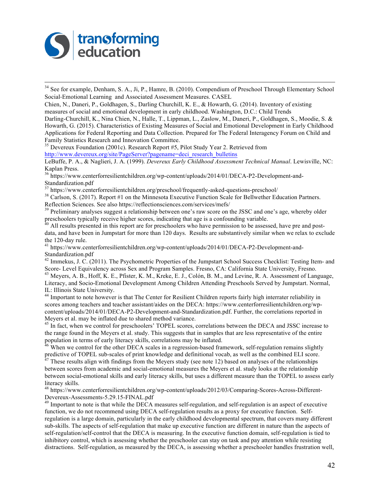

<sup>34</sup> See for example, Denham, S. A., Ji, P., Hamre, B. (2010). Compendium of Preschool Through Elementary School Social-Emotional Learning and Associated Assessment Measures. CASEL

Chien, N., Daneri, P., Goldhagen, S., Darling Churchill, K. E., & Howarth, G. (2014). Inventory of existing measures of social and emotional development in early childhood. Washington, D.C.: Child Trends

Darling-Churchill, K., Nina Chien, N., Halle, T., Lippman, L., Zaslow, M., Daneri, P., Goldhagen, S., Moodie, S. & Howarth, G. (2015). Characteristics of Existing Measures of Social and Emotional Development in Early Childhood Applications for Federal Reporting and Data Collection. Prepared for The Federal Interagency Forum on Child and Family Statistics Research and Innovation Committee.

<sup>35</sup> Devereux Foundation (2001c). Research Report #5, Pilot Study Year 2. Retrieved from http://www.devereux.org/site/PageServer?pagename=deci\_research\_bulletins

LeBuffe, P. A., & Naglieri, J. A. (1999). *Devereux Early Childhood Assessment Technical Manual*. Lewisville, NC: Kaplan Press.

<sup>36</sup> https://www.centerforresilientchildren.org/wp-content/uploads/2014/01/DECA-P2-Development-and-Standardization.pdf<br>
<sup>37</sup> https://www.centerforresilientchildren.org/preschool/frequently-asked-questions-preschool/

<sup>38</sup> Carlson, S. (2017). Report #1 on the Minnesota Executive Function Scale for Bellwether Education Partners. Reflection Sciences. See also https://reflectionsciences.com/services/mefs/<br><sup>39</sup> Preliminary analyses suggest a relationship between one's raw score on the JSSC and one's age, whereby older

preschoolers typically receive higher scores, indicating that age is a confounding variable.<br><sup>40</sup> All results presented in this report are for preschoolers who have permission to be assessed, have pre and post-

data, and have been in Jumpstart for more than 120 days. Results are substantively similar when we relax to exclude the 120-day rule.<br><sup>41</sup> https://www.centerforresilientchildren.org/wp-content/uploads/2014/01/DECA-P2-Development-and-

Standardization.pdf

 $^{42}$  Immekus, J. C. (2011). The Psychometric Properties of the Jumpstart School Success Checklist: Testing Item- and Score-Level Equivalency across Sex and Program Samples. Fresno, CA: California State University, Fresn

 $^{43}$  Meyers, A. B., Hoff, K. E., Pfister, K. M., Kreke, E. J., Colón, B. M., and Levine, R. A. Assessment of Language, Literacy, and Socio-Emotional Development Among Children Attending Preschools Served by Jumpstart. Normal, IL: Illinois State University.<br><sup>44</sup> Important to note however is that The Center for Resilient Children reports fairly high interrater reliability in

scores among teachers and teacher assistant/aides on the DECA: https://www.centerforresilientchildren.org/wpcontent/uploads/2014/01/DECA-P2-Development-and-Standardization.pdf. Further, the correlations reported in Meyers et al. may be inflated due to shared method variance.

<sup>45</sup> In fact, when we control for preschoolers' TOPEL scores, correlations between the DECA and JSSC increase to the range found in the Meyers et al. study. This suggests that in samples that are less representative of the entire population in terms of early literacy skills, correlations may be inflated.

 $\frac{46}{10}$  When we control for the other DECA scales in a regression-based framework, self-regulation remains slightly predictive of TOPEL sub-scales of print knowledge and definitional vocab, as well as the combined ELI score. <sup>47</sup> These results align with findings from the Meyers study (see note 12) based on analyses of the relationships

between scores from academic and social-emotional measures the Meyers et al. study looks at the relationship between social-emotional skills and early literacy skills, but uses a different measure than the TOPEL to assess early literacy skills.

<sup>48</sup> https://www.centerforresilientchildren.org/wp-content/uploads/2012/03/Comparing-Scores-Across-Different-Devereux-Assessments-5.29.15-FINAL.pdf <sup>49</sup> Important to note is that while the DECA measures self-regulation, and self-regulation is an aspect of executive

function, we do not recommend using DECA self-regulation results as a proxy for executive function. Selfregulation is a large domain, particularly in the early childhood developmental spectrum, that covers many different sub-skills. The aspects of self-regulation that make up executive function are different in nature than the aspects of self-regulation/self-control that the DECA is measuring. In the executive function domain, self-regulation is tied to inhibitory control, which is assessing whether the preschooler can stay on task and pay attention while resisting distractions. Self-regulation, as measured by the DECA, is assessing whether a preschooler handles frustration well,